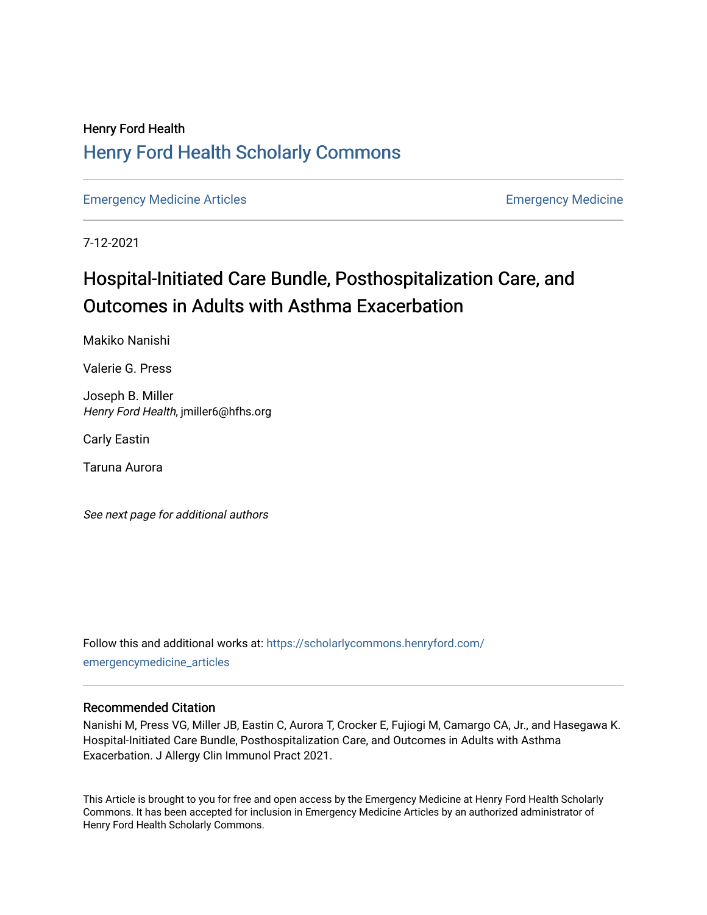# Henry Ford Health [Henry Ford Health Scholarly Commons](https://scholarlycommons.henryford.com/)

[Emergency Medicine Articles](https://scholarlycommons.henryford.com/emergencymedicine_articles) **Emergency Medicine** 

7-12-2021

# Hospital-Initiated Care Bundle, Posthospitalization Care, and Outcomes in Adults with Asthma Exacerbation

Makiko Nanishi

Valerie G. Press

Joseph B. Miller Henry Ford Health, jmiller6@hfhs.org

Carly Eastin

Taruna Aurora

See next page for additional authors

Follow this and additional works at: [https://scholarlycommons.henryford.com/](https://scholarlycommons.henryford.com/emergencymedicine_articles?utm_source=scholarlycommons.henryford.com%2Femergencymedicine_articles%2F230&utm_medium=PDF&utm_campaign=PDFCoverPages) [emergencymedicine\\_articles](https://scholarlycommons.henryford.com/emergencymedicine_articles?utm_source=scholarlycommons.henryford.com%2Femergencymedicine_articles%2F230&utm_medium=PDF&utm_campaign=PDFCoverPages) 

### Recommended Citation

Nanishi M, Press VG, Miller JB, Eastin C, Aurora T, Crocker E, Fujiogi M, Camargo CA, Jr., and Hasegawa K. Hospital-Initiated Care Bundle, Posthospitalization Care, and Outcomes in Adults with Asthma Exacerbation. J Allergy Clin Immunol Pract 2021.

This Article is brought to you for free and open access by the Emergency Medicine at Henry Ford Health Scholarly Commons. It has been accepted for inclusion in Emergency Medicine Articles by an authorized administrator of Henry Ford Health Scholarly Commons.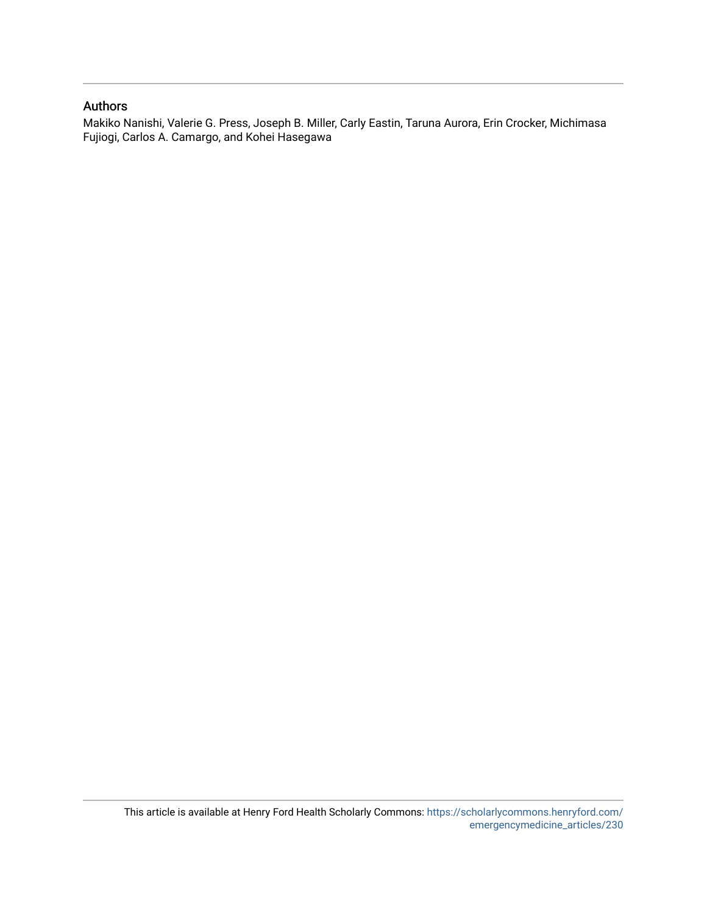### Authors

Makiko Nanishi, Valerie G. Press, Joseph B. Miller, Carly Eastin, Taruna Aurora, Erin Crocker, Michimasa Fujiogi, Carlos A. Camargo, and Kohei Hasegawa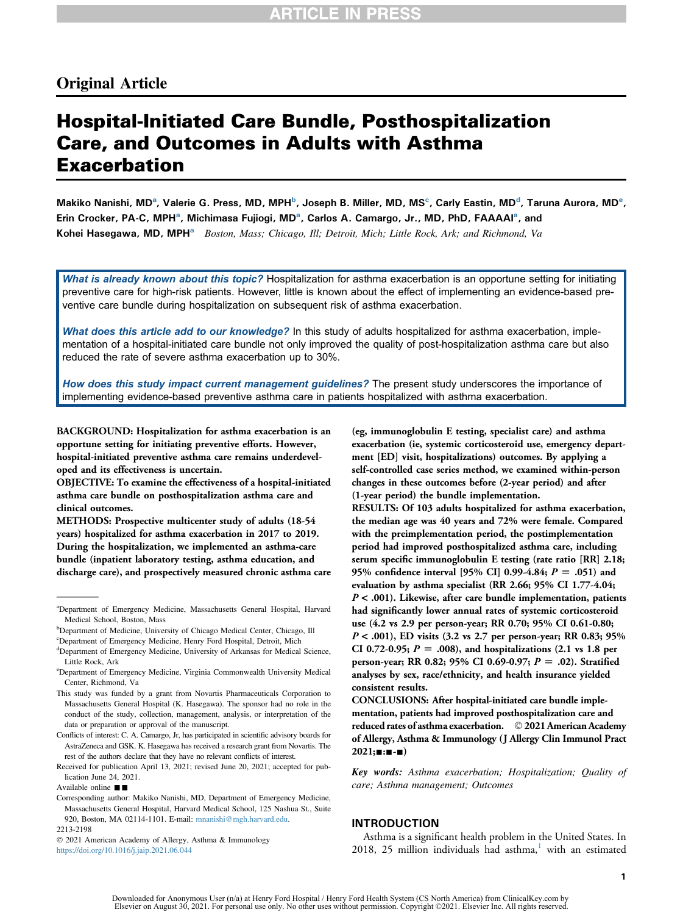### Original Article

# Hospital-Initiated Care Bundle, Posthospitalization Care, and Outcomes in Adults with Asthma **Exacerbation**

<span id="page-2-0"></span>M[a](#page-2-0)kiko Nanishi, MD<sup>a</sup>, Valerie G. Press, MD, MPH<sup>[b](#page-2-0)</sup>, Joseph B. Miller, MD, MS<sup>[c](#page-2-0)</sup>, Carly Eastin, MD<sup>[d](#page-2-0)</sup>, Taruna Aurora, MD<sup>[e](#page-2-0)</sup>, Erin Crocker, PA-C, MPH<sup>[a](#page-2-0)</sup>, Michimasa Fujiogi, MD<sup>a</sup>, Carlos A. Camargo, Jr., MD, PhD, FAAAAI<sup>a</sup>, and Kohei H[a](#page-2-0)segawa, MD, MPH<sup>a</sup> Boston, Mass; Chicago, Ill; Detroit, Mich; Little Rock, Ark; and Richmond, Va

What is already known about this topic? Hospitalization for asthma exacerbation is an opportune setting for initiating preventive care for high-risk patients. However, little is known about the effect of implementing an evidence-based preventive care bundle during hospitalization on subsequent risk of asthma exacerbation.

What does this article add to our knowledge? In this study of adults hospitalized for asthma exacerbation, implementation of a hospital-initiated care bundle not only improved the quality of post-hospitalization asthma care but also reduced the rate of severe asthma exacerbation up to 30%.

How does this study impact current management guidelines? The present study underscores the importance of implementing evidence-based preventive asthma care in patients hospitalized with asthma exacerbation.

BACKGROUND: Hospitalization for asthma exacerbation is an opportune setting for initiating preventive efforts. However, hospital-initiated preventive asthma care remains underdeveloped and its effectiveness is uncertain.

OBJECTIVE: To examine the effectiveness of a hospital-initiated asthma care bundle on posthospitalization asthma care and clinical outcomes.

METHODS: Prospective multicenter study of adults (18-54 years) hospitalized for asthma exacerbation in 2017 to 2019. During the hospitalization, we implemented an asthma-care bundle (inpatient laboratory testing, asthma education, and discharge care), and prospectively measured chronic asthma care

```
c
Department of Emergency Medicine, Henry Ford Hospital, Detroit, Mich
```
(eg, immunoglobulin E testing, specialist care) and asthma exacerbation (ie, systemic corticosteroid use, emergency department [ED] visit, hospitalizations) outcomes. By applying a self-controlled case series method, we examined within-person changes in these outcomes before (2-year period) and after (1-year period) the bundle implementation.

RESULTS: Of 103 adults hospitalized for asthma exacerbation, the median age was 40 years and 72% were female. Compared with the preimplementation period, the postimplementation period had improved posthospitalized asthma care, including serum specific immunoglobulin E testing (rate ratio [RR] 2.18; 95% confidence interval [95% CI] 0.99-4.84;  $P = .051$ ) and evaluation by asthma specialist (RR 2.66; 95% CI 1.77-4.04;  $P < .001$ ). Likewise, after care bundle implementation, patients had significantly lower annual rates of systemic corticosteroid use (4.2 vs 2.9 per person-year; RR 0.70; 95% CI 0.61-0.80;  $P < .001$ ), ED visits (3.2 vs 2.7 per person-year; RR 0.83; 95% CI 0.72-0.95;  $P = .008$ ), and hospitalizations (2.1 vs 1.8 per person-year; RR 0.82; 95% CI 0.69-0.97;  $P = .02$ ). Stratified analyses by sex, race/ethnicity, and health insurance yielded consistent results.

CONCLUSIONS: After hospital-initiated care bundle implementation, patients had improved posthospitalization care and reduced rates of asthma exacerbation.  $\circ$  2021 American Academy of Allergy, Asthma & Immunology (J Allergy Clin Immunol Pract  $2021; \blacksquare \cdot \blacksquare \cdot \blacksquare)$ 

Key words: Asthma exacerbation; Hospitalization; Quality of care; Asthma management; Outcomes

#### INTRODUCTION

Asthma is a significant health problem in the United States. In  $2018$  $2018$  $2018$ ,  $25$  million individuals had asthma,<sup>1</sup> with an estimated

a Department of Emergency Medicine, Massachusetts General Hospital, Harvard Medical School, Boston, Mass

<sup>&</sup>lt;sup>b</sup>Department of Medicine, University of Chicago Medical Center, Chicago, Ill

<sup>&</sup>lt;sup>d</sup>Department of Emergency Medicine, University of Arkansas for Medical Science, Little Rock, Ark

e Department of Emergency Medicine, Virginia Commonwealth University Medical Center, Richmond, Va

This study was funded by a grant from Novartis Pharmaceuticals Corporation to Massachusetts General Hospital (K. Hasegawa). The sponsor had no role in the conduct of the study, collection, management, analysis, or interpretation of the data or preparation or approval of the manuscript.

Conflicts of interest: C. A. Camargo, Jr, has participated in scientific advisory boards for AstraZeneca and GSK. K. Hasegawa has received a research grant from Novartis. The rest of the authors declare that they have no relevant conflicts of interest.

Received for publication April 13, 2021; revised June 20, 2021; accepted for publication June 24, 2021.

Available online  $\blacksquare$ 

Corresponding author: Makiko Nanishi, MD, Department of Emergency Medicine, Massachusetts General Hospital, Harvard Medical School, 125 Nashua St., Suite 920, Boston, MA 02114-1101. E-mail: [mnanishi@mgh.harvard.edu.](mailto:mnanishi@mgh.harvard.edu) 2213-2198

2021 American Academy of Allergy, Asthma & Immunology <https://doi.org/10.1016/j.jaip.2021.06.044>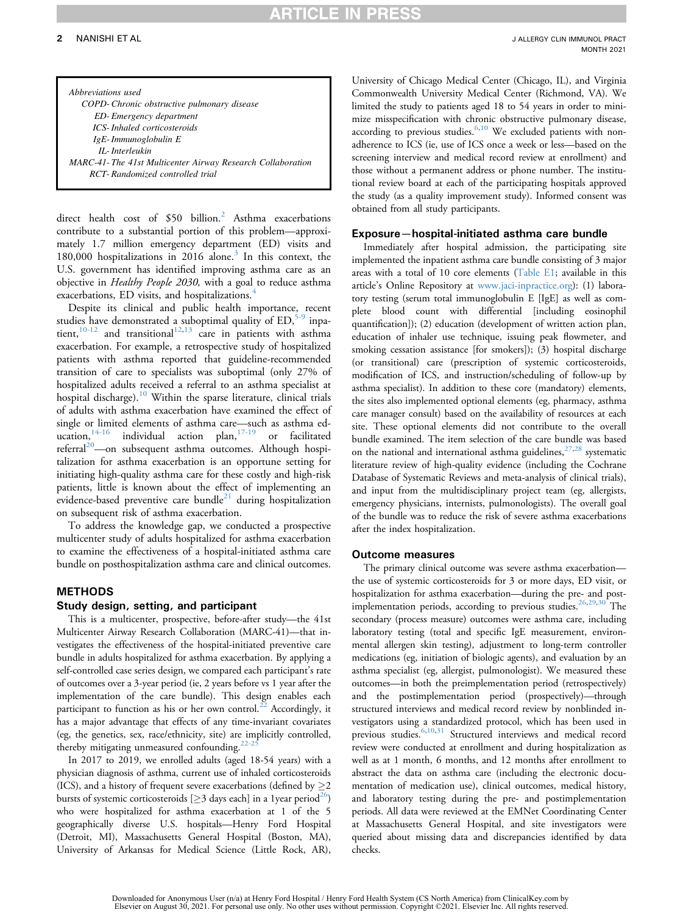### RTICLE

Abbreviations used COPD- Chronic obstructive pulmonary disease ED- Emergency department ICS- Inhaled corticosteroids IgE- Immunoglobulin E IL- Interleukin MARC-41- The 41st Multicenter Airway Research Collaboration RCT- Randomized controlled trial

direct health cost of  $$50$  billion.<sup>2</sup> Asthma exacerbations contribute to a substantial portion of this problem—approximately 1.7 million emergency department (ED) visits and 180,000 hospitalizations in 2016 alone. $3$  In this context, the U.S. government has identified improving asthma care as an objective in *Healthy People 2030*, with a goal to reduce asthma exacerbations, ED visits, and hospitalizations.<sup>[4](#page-7-3)</sup>

Despite its clinical and public health importance, recent studies have demonstrated a suboptimal quality of  $ED<sub>5-9</sub>$  $ED<sub>5-9</sub>$  $ED<sub>5-9</sub>$  inpa-tient,<sup>[10-12](#page-8-1)</sup> and transitional<sup>[12,](#page-8-2)[13](#page-8-3)</sup> care in patients with asthma exacerbation. For example, a retrospective study of hospitalized patients with asthma reported that guideline-recommended transition of care to specialists was suboptimal (only 27% of hospitalized adults received a referral to an asthma specialist at hospital discharge).<sup>[10](#page-8-1)</sup> Within the sparse literature, clinical trials of adults with asthma exacerbation have examined the effect of single or limited elements of asthma care—such as asthma ed-<br>ucation,  $1^{4-16}$  individual action plan,  $1^{7-19}$  or facilitated individual action plan, $17-19$  or facilitated referral<sup>[20](#page-8-6)</sup>—on subsequent asthma outcomes. Although hospitalization for asthma exacerbation is an opportune setting for initiating high-quality asthma care for these costly and high-risk patients, little is known about the effect of implementing an evidence-based preventive care bundle $^{21}$  $^{21}$  $^{21}$  during hospitalization on subsequent risk of asthma exacerbation.

To address the knowledge gap, we conducted a prospective multicenter study of adults hospitalized for asthma exacerbation to examine the effectiveness of a hospital-initiated asthma care bundle on posthospitalization asthma care and clinical outcomes.

#### METHODS

#### Study design, setting, and participant

This is a multicenter, prospective, before-after study—the 41st Multicenter Airway Research Collaboration (MARC-41)—that investigates the effectiveness of the hospital-initiated preventive care bundle in adults hospitalized for asthma exacerbation. By applying a self-controlled case series design, we compared each participant's rate of outcomes over a 3-year period (ie, 2 years before vs 1 year after the implementation of the care bundle). This design enables each participant to function as his or her own control.<sup>[22](#page-8-8)</sup> Accordingly, it has a major advantage that effects of any time-invariant covariates (eg, the genetics, sex, race/ethnicity, site) are implicitly controlled, thereby mitigating unmeasured confounding.<sup>22-25</sup>

In 2017 to 2019, we enrolled adults (aged 18-54 years) with a physician diagnosis of asthma, current use of inhaled corticosteroids (ICS), and a history of frequent severe exacerbations (defined by  $\geq$ 2 bursts of systemic corticosteroids [ $\geq$ 3 days each] in a 1year period<sup>26</sup>) who were hospitalized for asthma exacerbation at 1 of the 5 geographically diverse U.S. hospitals—Henry Ford Hospital (Detroit, MI), Massachusetts General Hospital (Boston, MA), University of Arkansas for Medical Science (Little Rock, AR),

University of Chicago Medical Center (Chicago, IL), and Virginia Commonwealth University Medical Center (Richmond, VA). We limited the study to patients aged 18 to 54 years in order to minimize misspecification with chronic obstructive pulmonary disease, according to previous studies. $6,10$  $6,10$  We excluded patients with nonadherence to ICS (ie, use of ICS once a week or less—based on the screening interview and medical record review at enrollment) and those without a permanent address or phone number. The institutional review board at each of the participating hospitals approved the study (as a quality improvement study). Informed consent was obtained from all study participants.

#### Exposure—hospital-initiated asthma care bundle

Immediately after hospital admission, the participating site implemented the inpatient asthma care bundle consisting of 3 major areas with a total of 10 core elements ([Table E1;](#page-9-0) available in this article's Online Repository at [www.jaci-inpractice.org](http://www.jaci-inpractice.org)): (1) laboratory testing (serum total immunoglobulin E [IgE] as well as complete blood count with differential [including eosinophil quantification]); (2) education (development of written action plan, education of inhaler use technique, issuing peak flowmeter, and smoking cessation assistance [for smokers]); (3) hospital discharge (or transitional) care (prescription of systemic corticosteroids, modification of ICS, and instruction/scheduling of follow-up by asthma specialist). In addition to these core (mandatory) elements, the sites also implemented optional elements (eg, pharmacy, asthma care manager consult) based on the availability of resources at each site. These optional elements did not contribute to the overall bundle examined. The item selection of the care bundle was based on the national and international asthma guidelines,  $27,28$  $27,28$  $27,28$  systematic literature review of high-quality evidence (including the Cochrane Database of Systematic Reviews and meta-analysis of clinical trials), and input from the multidisciplinary project team (eg, allergists, emergency physicians, internists, pulmonologists). The overall goal of the bundle was to reduce the risk of severe asthma exacerbations after the index hospitalization.

#### Outcome measures

The primary clinical outcome was severe asthma exacerbation the use of systemic corticosteroids for 3 or more days, ED visit, or hospitalization for asthma exacerbation—during the pre- and post-implementation periods, according to previous studies.<sup>[26](#page-8-9),[29,](#page-8-13)[30](#page-8-14)</sup> The secondary (process measure) outcomes were asthma care, including laboratory testing (total and specific IgE measurement, environmental allergen skin testing), adjustment to long-term controller medications (eg, initiation of biologic agents), and evaluation by an asthma specialist (eg, allergist, pulmonologist). We measured these outcomes—in both the preimplementation period (retrospectively) and the postimplementation period (prospectively)—through structured interviews and medical record review by nonblinded investigators using a standardized protocol, which has been used in previous studies.<sup>[6](#page-8-10),[10](#page-8-1)[,31](#page-8-15)</sup> Structured interviews and medical record review were conducted at enrollment and during hospitalization as well as at 1 month, 6 months, and 12 months after enrollment to abstract the data on asthma care (including the electronic documentation of medication use), clinical outcomes, medical history, and laboratory testing during the pre- and postimplementation periods. All data were reviewed at the EMNet Coordinating Center at Massachusetts General Hospital, and site investigators were queried about missing data and discrepancies identified by data checks.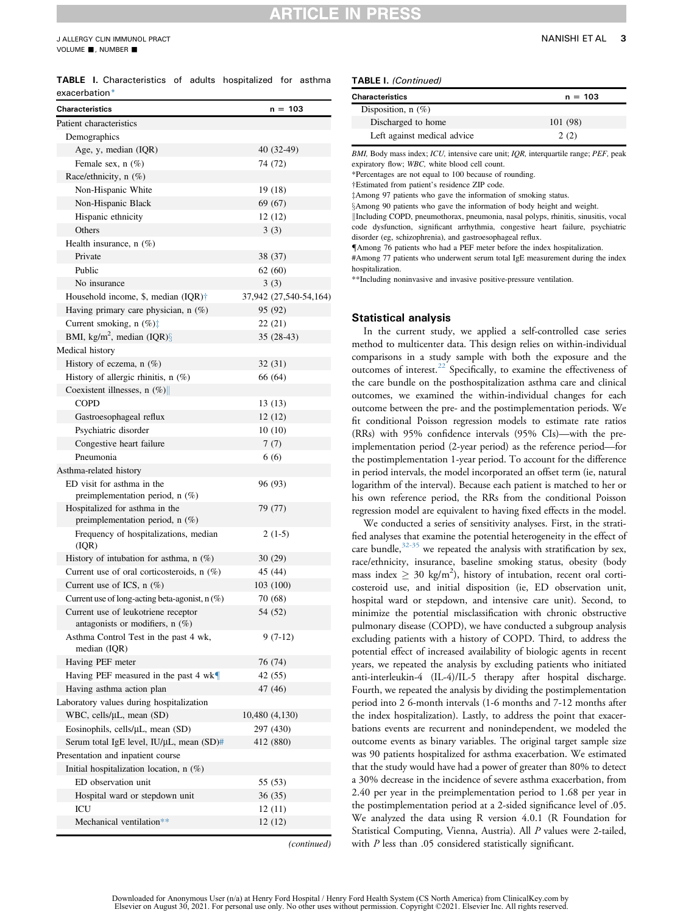### CL E

<span id="page-4-4"></span>

|               | TABLE I. Characteristics of adults hospitalized for asthma |  |  |  |
|---------------|------------------------------------------------------------|--|--|--|
| exacerbation* |                                                            |  |  |  |

| <b>Characteristics</b>                                                   | $n = 103$              |
|--------------------------------------------------------------------------|------------------------|
| Patient characteristics                                                  |                        |
| Demographics                                                             |                        |
| Age, y, median (IQR)                                                     | 40 (32-49)             |
| Female sex, n (%)                                                        | 74 (72)                |
| Race/ethnicity, n (%)                                                    |                        |
| Non-Hispanic White                                                       | 19(18)                 |
| Non-Hispanic Black                                                       | 69 (67)                |
| Hispanic ethnicity                                                       | 12 (12)                |
| Others                                                                   | 3(3)                   |
| Health insurance, $n$ (%)                                                |                        |
| Private                                                                  | 38 (37)                |
| Public                                                                   | 62 (60)                |
| No insurance                                                             | 3(3)                   |
| Household income, \$, median (IQR)†                                      | 37,942 (27,540-54,164) |
| Having primary care physician, $n$ (%)                                   | 95 (92)                |
| Current smoking, n $(\%)$ <sup><math>\ddagger</math></sup>               | 22 (21)                |
| BMI, kg/m <sup>2</sup> , median (IQR) $\S$                               | 35 (28-43)             |
| Medical history                                                          |                        |
| History of eczema, $n$ (%)                                               | 32(31)                 |
| History of allergic rhinitis, $n$ (%)                                    | 66 (64)                |
| Coexistent illnesses, n (%)                                              |                        |
| <b>COPD</b>                                                              | 13 (13)                |
| Gastroesophageal reflux                                                  | 12(12)                 |
| Psychiatric disorder                                                     | 10(10)                 |
| Congestive heart failure                                                 | 7(7)                   |
| Pneumonia                                                                | 6 (6)                  |
| Asthma-related history                                                   |                        |
| ED visit for asthma in the<br>preimplementation period, $n$ (%)          | 96 (93)                |
| Hospitalized for asthma in the<br>preimplementation period, $n$ (%)      | 79 (77)                |
| Frequency of hospitalizations, median<br>(IQR)                           | $2(1-5)$               |
| History of intubation for asthma, $n$ (%)                                | 30 (29)                |
| Current use of oral corticosteroids, $n$ (%)                             | 45 (44)                |
| Current use of ICS, $n$ (%)                                              | 103 (100)              |
| Current use of long-acting beta-agonist, $n$ (%)                         | 70 (68)                |
| Current use of leukotriene receptor<br>antagonists or modifiers, $n$ (%) | 54 (52)                |
| Asthma Control Test in the past 4 wk,<br>median (IQR)                    | $9(7-12)$              |
| Having PEF meter                                                         | 76 (74)                |
| Having PEF measured in the past 4 wk                                     | 42 (55)                |
| Having asthma action plan                                                | 47 (46)                |
| Laboratory values during hospitalization                                 |                        |
| WBC, cells/µL, mean (SD)                                                 | 10,480 (4,130)         |
| Eosinophils, cells/µL, mean (SD)                                         | 297 (430)              |
| Serum total IgE level, IU/µL, mean (SD)#                                 | 412 (880)              |
| Presentation and inpatient course                                        |                        |
| Initial hospitalization location, n (%)                                  |                        |
| ED observation unit                                                      | 55 (53)                |
| Hospital ward or stepdown unit                                           | 36(35)                 |
| ICU                                                                      | 12(11)                 |
| Mechanical ventilation**                                                 | 12 (12)                |
|                                                                          | continued              |

(continued)

#### TABLE I. (Continued)

| Characteristics             | $n = 103$ |
|-----------------------------|-----------|
| Disposition, $n$ (%)        |           |
| Discharged to home          | 101 (98)  |
| Left against medical advice | 2(2)      |

BMI, Body mass index; ICU, intensive care unit; IOR, interquartile range; PEF, peak expiratory flow; WBC, white blood cell count.

<span id="page-4-0"></span>\*Percentages are not equal to 100 because of rounding.

<span id="page-4-1"></span>†Estimated from patient's residence ZIP code.

 $\ddagger$ Among 97 patients who gave the information of smoking status.

§Among 90 patients who gave the information of body height and weight. kIncluding COPD, pneumothorax, pneumonia, nasal polyps, rhinitis, sinusitis, vocal code dysfunction, significant arrhythmia, congestive heart failure, psychiatric disorder (eg, schizophrenia), and gastroesophageal reflux.

{Among 76 patients who had a PEF meter before the index hospitalization.

<span id="page-4-2"></span>#Among 77 patients who underwent serum total IgE measurement during the index hospitalization.

<span id="page-4-3"></span>\*\*Including noninvasive and invasive positive-pressure ventilation.

#### Statistical analysis

In the current study, we applied a self-controlled case series method to multicenter data. This design relies on within-individual comparisons in a study sample with both the exposure and the outcomes of interest.<sup>[22](#page-8-8)</sup> Specifically, to examine the effectiveness of the care bundle on the posthospitalization asthma care and clinical outcomes, we examined the within-individual changes for each outcome between the pre- and the postimplementation periods. We fit conditional Poisson regression models to estimate rate ratios (RRs) with 95% confidence intervals (95% CIs)—with the preimplementation period (2-year period) as the reference period—for the postimplementation 1-year period. To account for the difference in period intervals, the model incorporated an offset term (ie, natural logarithm of the interval). Because each patient is matched to her or his own reference period, the RRs from the conditional Poisson regression model are equivalent to having fixed effects in the model.

We conducted a series of sensitivity analyses. First, in the stratified analyses that examine the potential heterogeneity in the effect of care bundle,  $32-35$  we repeated the analysis with stratification by sex, race/ethnicity, insurance, baseline smoking status, obesity (body mass index  $\geq 30 \text{ kg/m}^2$ ), history of intubation, recent oral corticosteroid use, and initial disposition (ie, ED observation unit, hospital ward or stepdown, and intensive care unit). Second, to minimize the potential misclassification with chronic obstructive pulmonary disease (COPD), we have conducted a subgroup analysis excluding patients with a history of COPD. Third, to address the potential effect of increased availability of biologic agents in recent years, we repeated the analysis by excluding patients who initiated anti-interleukin-4 (IL-4)/IL-5 therapy after hospital discharge. Fourth, we repeated the analysis by dividing the postimplementation period into 2 6-month intervals (1-6 months and 7-12 months after the index hospitalization). Lastly, to address the point that exacerbations events are recurrent and nonindependent, we modeled the outcome events as binary variables. The original target sample size was 90 patients hospitalized for asthma exacerbation. We estimated that the study would have had a power of greater than 80% to detect a 30% decrease in the incidence of severe asthma exacerbation, from 2.40 per year in the preimplementation period to 1.68 per year in the postimplementation period at a 2-sided significance level of .05. We analyzed the data using R version 4.0.1 (R Foundation for Statistical Computing, Vienna, Austria). All P values were 2-tailed, with  $P$  less than .05 considered statistically significant.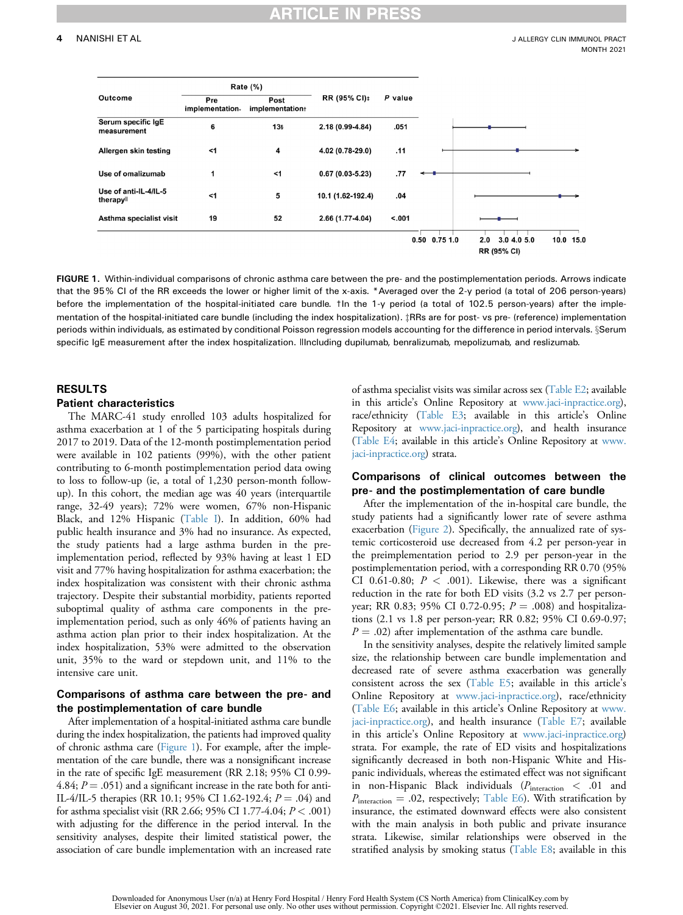<span id="page-5-0"></span>

|                                    |                        | Rate (%)                |                     |         |                   |                                 |           |
|------------------------------------|------------------------|-------------------------|---------------------|---------|-------------------|---------------------------------|-----------|
| Outcome                            | Pre<br>implementation. | Post<br>implementation+ | RR (95% CI):        | P value |                   |                                 |           |
| Serum specific IgE<br>measurement  | 6                      | 13s                     | 2.18 (0.99-4.84)    | .051    |                   |                                 |           |
| Allergen skin testing              | $<$ 1                  | 4                       | 4.02 (0.78-29.0)    | .11     |                   |                                 |           |
| Use of omalizumab                  | 1                      | $<$ 1                   | $0.67(0.03 - 5.23)$ | .77     |                   |                                 |           |
| Use of anti-IL-4/IL-5<br>therapyll | < 1                    | 5                       | 10.1 (1.62-192.4)   | .04     |                   |                                 |           |
| Asthma specialist visit            | 19                     | 52                      | 2.66 (1.77-4.04)    | < .001  |                   |                                 |           |
|                                    |                        |                         |                     |         | $0.50$ $0.75$ 1.0 | 3.04.05.0<br>2.0<br>RR (95% CI) | 10.0 15.0 |

FIGURE 1. Within-individual comparisons of chronic asthma care between the pre- and the postimplementation periods. Arrows indicate that the 95% CI of the RR exceeds the lower or higher limit of the x-axis. \*Averaged over the 2-y period (a total of 206 person-years) before the implementation of the hospital-initiated care bundle. †In the 1-y period (a total of 102.5 person-years) after the implementation of the hospital-initiated care bundle (including the index hospitalization). ‡RRs are for post- vs pre- (reference) implementation periods within individuals, as estimated by conditional Poisson regression models accounting for the difference in period intervals. §Serum specific IgE measurement after the index hospitalization. ǁIncluding dupilumab, benralizumab, mepolizumab, and reslizumab.

#### RESULTS

#### Patient characteristics

The MARC-41 study enrolled 103 adults hospitalized for asthma exacerbation at 1 of the 5 participating hospitals during 2017 to 2019. Data of the 12-month postimplementation period were available in 102 patients (99%), with the other patient contributing to 6-month postimplementation period data owing to loss to follow-up (ie, a total of 1,230 person-month followup). In this cohort, the median age was 40 years (interquartile range, 32-49 years); 72% were women, 67% non-Hispanic Black, and 12% Hispanic [\(Table I](#page-4-4)). In addition, 60% had public health insurance and 3% had no insurance. As expected, the study patients had a large asthma burden in the preimplementation period, reflected by 93% having at least 1 ED visit and 77% having hospitalization for asthma exacerbation; the index hospitalization was consistent with their chronic asthma trajectory. Despite their substantial morbidity, patients reported suboptimal quality of asthma care components in the preimplementation period, such as only 46% of patients having an asthma action plan prior to their index hospitalization. At the index hospitalization, 53% were admitted to the observation unit, 35% to the ward or stepdown unit, and 11% to the intensive care unit.

#### Comparisons of asthma care between the pre- and the postimplementation of care bundle

After implementation of a hospital-initiated asthma care bundle during the index hospitalization, the patients had improved quality of chronic asthma care [\(Figure 1](#page-5-0)). For example, after the implementation of the care bundle, there was a nonsignificant increase in the rate of specific IgE measurement (RR 2.18; 95% CI 0.99- 4.84;  $P = .051$ ) and a significant increase in the rate both for anti-IL-4/IL-5 therapies (RR 10.1; 95% CI 1.62-192.4;  $P = .04$ ) and for asthma specialist visit (RR 2.66; 95% CI 1.77-4.04;  $P < .001$ ) with adjusting for the difference in the period interval. In the sensitivity analyses, despite their limited statistical power, the association of care bundle implementation with an increased rate

of asthma specialist visits was similar across sex ([Table E2](#page-10-0); available in this article's Online Repository at [www.jaci-inpractice.org](http://www.jaci-inpractice.org)), race/ethnicity [\(Table E3](#page-10-1); available in this article's Online Repository at [www.jaci-inpractice.org\)](http://www.jaci-inpractice.org), and health insurance [\(Table E4](#page-11-0); available in this article's Online Repository at [www.](http://www.jaci-inpractice.org) [jaci-inpractice.org](http://www.jaci-inpractice.org)) strata.

#### Comparisons of clinical outcomes between the pre- and the postimplementation of care bundle

After the implementation of the in-hospital care bundle, the study patients had a significantly lower rate of severe asthma exacerbation [\(Figure 2](#page-6-0)). Specifically, the annualized rate of systemic corticosteroid use decreased from 4.2 per person-year in the preimplementation period to 2.9 per person-year in the postimplementation period, with a corresponding RR 0.70 (95% CI 0.61-0.80;  $P < .001$ ). Likewise, there was a significant reduction in the rate for both ED visits (3.2 vs 2.7 per personyear; RR 0.83; 95% CI 0.72-0.95;  $P = .008$ ) and hospitalizations (2.1 vs 1.8 per person-year; RR 0.82; 95% CI 0.69-0.97;  $P = .02$ ) after implementation of the asthma care bundle.

In the sensitivity analyses, despite the relatively limited sample size, the relationship between care bundle implementation and decreased rate of severe asthma exacerbation was generally consistent across the sex [\(Table E5;](#page-11-1) available in this article's Online Repository at [www.jaci-inpractice.org](http://www.jaci-inpractice.org)), race/ethnicity [\(Table E6;](#page-12-0) available in this article's Online Repository at [www.](http://www.jaci-inpractice.org) [jaci-inpractice.org](http://www.jaci-inpractice.org)), and health insurance [\(Table E7;](#page-12-1) available in this article's Online Repository at [www.jaci-inpractice.org\)](http://www.jaci-inpractice.org) strata. For example, the rate of ED visits and hospitalizations significantly decreased in both non-Hispanic White and Hispanic individuals, whereas the estimated effect was not significant in non-Hispanic Black individuals  $(P_{\rm interaction}~<~.01~$  and  $P_{\text{interaction}} = .02$ , respectively; [Table E6](#page-12-0)). With stratification by insurance, the estimated downward effects were also consistent with the main analysis in both public and private insurance strata. Likewise, similar relationships were observed in the stratified analysis by smoking status [\(Table E8](#page-13-0); available in this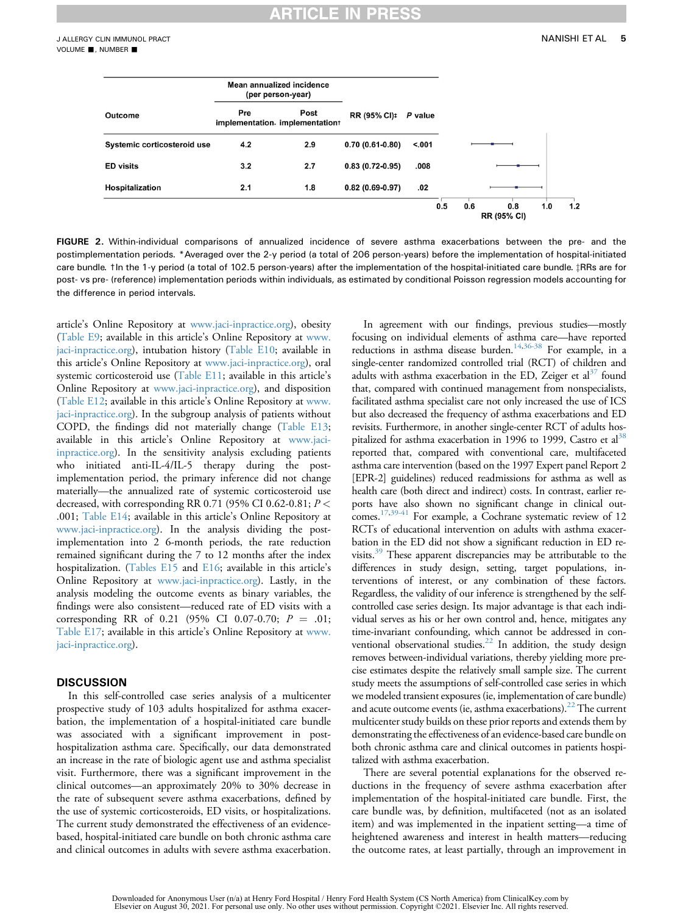### RTICLE IN

<span id="page-6-0"></span>

|                             | Mean annualized incidence<br>(per person-year) |                                         |                         |        |     |     |                           |     |     |
|-----------------------------|------------------------------------------------|-----------------------------------------|-------------------------|--------|-----|-----|---------------------------|-----|-----|
| Outcome                     | Pre                                            | Post<br>implementation. implementationt | RR $(95\%$ CI): P value |        |     |     |                           |     |     |
| Systemic corticosteroid use | 4.2                                            | 2.9                                     | $0.70(0.61-0.80)$       | < .001 |     |     |                           |     |     |
| <b>ED</b> visits            | 3.2                                            | 2.7                                     | $0.83(0.72 - 0.95)$     | .008   |     |     |                           |     |     |
| Hospitalization             | 2.1                                            | 1.8                                     | $0.82(0.69 - 0.97)$     | .02    |     |     |                           |     |     |
|                             |                                                |                                         |                         |        | 0.5 | 0.6 | 0.8<br><b>RR (95% CI)</b> | 1.0 | 1.2 |

FIGURE 2. Within-individual comparisons of annualized incidence of severe asthma exacerbations between the pre- and the postimplementation periods. \*Averaged over the 2-y period (a total of 206 person-years) before the implementation of hospital-initiated care bundle. †In the 1-y period (a total of 102.5 person-years) after the implementation of the hospital-initiated care bundle. ‡RRs are for post- vs pre- (reference) implementation periods within individuals, as estimated by conditional Poisson regression models accounting for the difference in period intervals.

article's Online Repository at [www.jaci-inpractice.org\)](http://www.jaci-inpractice.org), obesity [\(Table E9](#page-13-1); available in this article's Online Repository at [www.](http://www.jaci-inpractice.org) [jaci-inpractice.org\)](http://www.jaci-inpractice.org), intubation history ([Table E10](#page-14-0); available in this article's Online Repository at [www.jaci-inpractice.org](http://www.jaci-inpractice.org)), oral systemic corticosteroid use ([Table E11;](#page-14-1) available in this article's Online Repository at [www.jaci-inpractice.org](http://www.jaci-inpractice.org)), and disposition [\(Table E12;](#page-15-0) available in this article's Online Repository at [www.](http://www.jaci-inpractice.org) [jaci-inpractice.org\)](http://www.jaci-inpractice.org). In the subgroup analysis of patients without COPD, the findings did not materially change [\(Table E13](#page-15-1); available in this article's Online Repository at [www.jaci](http://www.jaci-inpractice.org)[inpractice.org\)](http://www.jaci-inpractice.org). In the sensitivity analysis excluding patients who initiated anti-IL-4/IL-5 therapy during the postimplementation period, the primary inference did not change materially—the annualized rate of systemic corticosteroid use decreased, with corresponding RR 0.71 (95% CI 0.62-0.81;  $P$  < .001; [Table E14](#page-15-2); available in this article's Online Repository at [www.jaci-inpractice.org\)](http://www.jaci-inpractice.org). In the analysis dividing the postimplementation into 2 6-month periods, the rate reduction remained significant during the 7 to 12 months after the index hospitalization. [\(Tables E15](#page-16-0) and [E16](#page-16-1); available in this article's Online Repository at [www.jaci-inpractice.org\)](http://www.jaci-inpractice.org). Lastly, in the analysis modeling the outcome events as binary variables, the findings were also consistent—reduced rate of ED visits with a corresponding RR of 0.21 (95% CI 0.07-0.70;  $P = .01$ ; [Table E17](#page-16-2); available in this article's Online Repository at [www.](http://www.jaci-inpractice.org) [jaci-inpractice.org\)](http://www.jaci-inpractice.org).

#### **DISCUSSION**

In this self-controlled case series analysis of a multicenter prospective study of 103 adults hospitalized for asthma exacerbation, the implementation of a hospital-initiated care bundle was associated with a significant improvement in posthospitalization asthma care. Specifically, our data demonstrated an increase in the rate of biologic agent use and asthma specialist visit. Furthermore, there was a significant improvement in the clinical outcomes—an approximately 20% to 30% decrease in the rate of subsequent severe asthma exacerbations, defined by the use of systemic corticosteroids, ED visits, or hospitalizations. The current study demonstrated the effectiveness of an evidencebased, hospital-initiated care bundle on both chronic asthma care and clinical outcomes in adults with severe asthma exacerbation.

In agreement with our findings, previous studies—mostly focusing on individual elements of asthma care—have reported reductions in asthma disease burden.<sup>[14](#page-8-4)[,36-38](#page-8-17)</sup> For example, in a single-center randomized controlled trial (RCT) of children and adults with asthma exacerbation in the ED, Zeiger et  $al<sup>37</sup>$  found that, compared with continued management from nonspecialists, facilitated asthma specialist care not only increased the use of ICS but also decreased the frequency of asthma exacerbations and ED revisits. Furthermore, in another single-center RCT of adults hospitalized for asthma exacerbation in 1996 to 1999, Castro et  $al^{38}$  $al^{38}$  $al^{38}$ reported that, compared with conventional care, multifaceted asthma care intervention (based on the 1997 Expert panel Report 2 [EPR-2] guidelines) reduced readmissions for asthma as well as health care (both direct and indirect) costs. In contrast, earlier reports have also shown no significant change in clinical outcomes.[17](#page-8-5)[,39-41](#page-8-20) For example, a Cochrane systematic review of 12 RCTs of educational intervention on adults with asthma exacerbation in the ED did not show a significant reduction in ED revisits[.39](#page-8-20) These apparent discrepancies may be attributable to the differences in study design, setting, target populations, interventions of interest, or any combination of these factors. Regardless, the validity of our inference is strengthened by the selfcontrolled case series design. Its major advantage is that each individual serves as his or her own control and, hence, mitigates any time-invariant confounding, which cannot be addressed in conventional observational studies.<sup>22</sup> In addition, the study design removes between-individual variations, thereby yielding more precise estimates despite the relatively small sample size. The current study meets the assumptions of self-controlled case series in which we modeled transient exposures (ie, implementation of care bundle) and acute outcome events (ie, asthma exacerbations).<sup>[22](#page-8-8)</sup> The current multicenter study builds on these prior reports and extends them by demonstrating the effectiveness of an evidence-based care bundle on both chronic asthma care and clinical outcomes in patients hospitalized with asthma exacerbation.

There are several potential explanations for the observed reductions in the frequency of severe asthma exacerbation after implementation of the hospital-initiated care bundle. First, the care bundle was, by definition, multifaceted (not as an isolated item) and was implemented in the inpatient setting—a time of heightened awareness and interest in health matters—reducing the outcome rates, at least partially, through an improvement in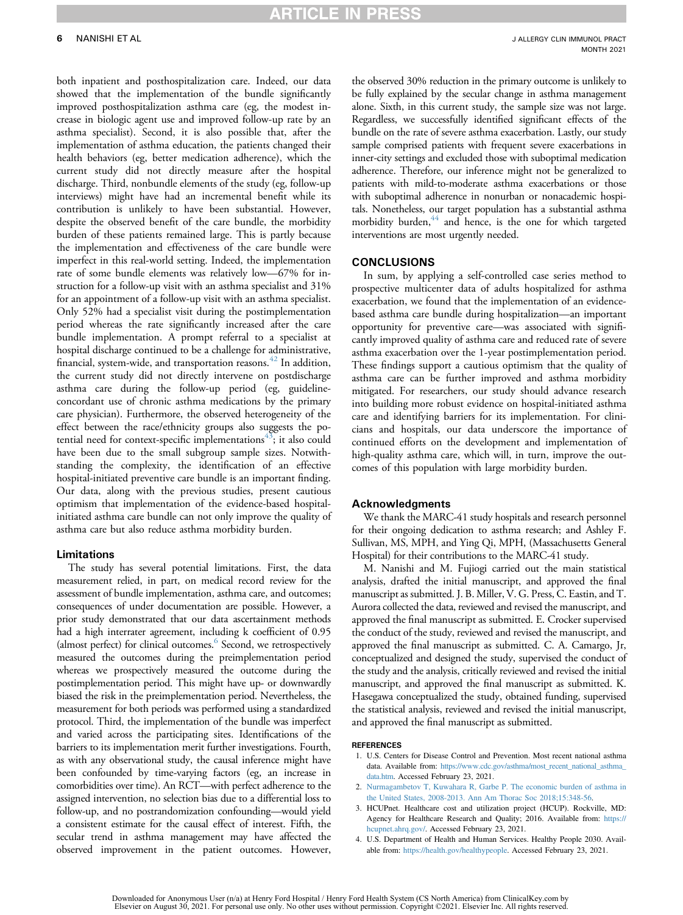### RTICLE IN

#### 6 NANISHI ET AL

both inpatient and posthospitalization care. Indeed, our data showed that the implementation of the bundle significantly improved posthospitalization asthma care (eg, the modest increase in biologic agent use and improved follow-up rate by an asthma specialist). Second, it is also possible that, after the implementation of asthma education, the patients changed their health behaviors (eg, better medication adherence), which the current study did not directly measure after the hospital discharge. Third, nonbundle elements of the study (eg, follow-up interviews) might have had an incremental benefit while its contribution is unlikely to have been substantial. However, despite the observed benefit of the care bundle, the morbidity burden of these patients remained large. This is partly because the implementation and effectiveness of the care bundle were imperfect in this real-world setting. Indeed, the implementation rate of some bundle elements was relatively low—67% for instruction for a follow-up visit with an asthma specialist and 31% for an appointment of a follow-up visit with an asthma specialist. Only 52% had a specialist visit during the postimplementation period whereas the rate significantly increased after the care bundle implementation. A prompt referral to a specialist at hospital discharge continued to be a challenge for administrative, financial, system-wide, and transportation reasons. $42$  In addition, the current study did not directly intervene on postdischarge asthma care during the follow-up period (eg, guidelineconcordant use of chronic asthma medications by the primary care physician). Furthermore, the observed heterogeneity of the effect between the race/ethnicity groups also suggests the potential need for context-specific implementations $43$ ; it also could have been due to the small subgroup sample sizes. Notwithstanding the complexity, the identification of an effective hospital-initiated preventive care bundle is an important finding. Our data, along with the previous studies, present cautious optimism that implementation of the evidence-based hospitalinitiated asthma care bundle can not only improve the quality of asthma care but also reduce asthma morbidity burden.

#### Limitations

The study has several potential limitations. First, the data measurement relied, in part, on medical record review for the assessment of bundle implementation, asthma care, and outcomes; consequences of under documentation are possible. However, a prior study demonstrated that our data ascertainment methods had a high interrater agreement, including k coefficient of 0.95 (almost perfect) for clinical outcomes.<sup>6</sup> Second, we retrospectively measured the outcomes during the preimplementation period whereas we prospectively measured the outcome during the postimplementation period. This might have up- or downwardly biased the risk in the preimplementation period. Nevertheless, the measurement for both periods was performed using a standardized protocol. Third, the implementation of the bundle was imperfect and varied across the participating sites. Identifications of the barriers to its implementation merit further investigations. Fourth, as with any observational study, the causal inference might have been confounded by time-varying factors (eg, an increase in comorbidities over time). An RCT—with perfect adherence to the assigned intervention, no selection bias due to a differential loss to follow-up, and no postrandomization confounding—would yield a consistent estimate for the causal effect of interest. Fifth, the secular trend in asthma management may have affected the observed improvement in the patient outcomes. However,

the observed 30% reduction in the primary outcome is unlikely to be fully explained by the secular change in asthma management alone. Sixth, in this current study, the sample size was not large. Regardless, we successfully identified significant effects of the bundle on the rate of severe asthma exacerbation. Lastly, our study sample comprised patients with frequent severe exacerbations in inner-city settings and excluded those with suboptimal medication adherence. Therefore, our inference might not be generalized to patients with mild-to-moderate asthma exacerbations or those with suboptimal adherence in nonurban or nonacademic hospitals. Nonetheless, our target population has a substantial asthma morbidity burden, $44$  and hence, is the one for which targeted interventions are most urgently needed.

#### CONCLUSIONS

In sum, by applying a self-controlled case series method to prospective multicenter data of adults hospitalized for asthma exacerbation, we found that the implementation of an evidencebased asthma care bundle during hospitalization—an important opportunity for preventive care—was associated with significantly improved quality of asthma care and reduced rate of severe asthma exacerbation over the 1-year postimplementation period. These findings support a cautious optimism that the quality of asthma care can be further improved and asthma morbidity mitigated. For researchers, our study should advance research into building more robust evidence on hospital-initiated asthma care and identifying barriers for its implementation. For clinicians and hospitals, our data underscore the importance of continued efforts on the development and implementation of high-quality asthma care, which will, in turn, improve the outcomes of this population with large morbidity burden.

#### Acknowledgments

We thank the MARC-41 study hospitals and research personnel for their ongoing dedication to asthma research; and Ashley F. Sullivan, MS, MPH, and Ying Qi, MPH, (Massachusetts General Hospital) for their contributions to the MARC-41 study.

M. Nanishi and M. Fujiogi carried out the main statistical analysis, drafted the initial manuscript, and approved the final manuscript as submitted. J. B. Miller, V. G. Press, C. Eastin, and T. Aurora collected the data, reviewed and revised the manuscript, and approved the final manuscript as submitted. E. Crocker supervised the conduct of the study, reviewed and revised the manuscript, and approved the final manuscript as submitted. C. A. Camargo, Jr, conceptualized and designed the study, supervised the conduct of the study and the analysis, critically reviewed and revised the initial manuscript, and approved the final manuscript as submitted. K. Hasegawa conceptualized the study, obtained funding, supervised the statistical analysis, reviewed and revised the initial manuscript, and approved the final manuscript as submitted.

#### **REFERENCES**

- <span id="page-7-0"></span>1. U.S. Centers for Disease Control and Prevention. Most recent national asthma data. Available from: https://www.cdc.gov/asthma/most\_recent\_national\_asthma [data.htm.](https://www.cdc.gov/asthma/most_recent_national_asthma_data.htm) Accessed February 23, 2021.
- <span id="page-7-1"></span>2. [Nurmagambetov T, Kuwahara R, Garbe P. The economic burden of asthma in](http://refhub.elsevier.com/S2213-2198(21)00775-3/sref2) [the United States, 2008-2013. Ann Am Thorac Soc 2018;15:348-56.](http://refhub.elsevier.com/S2213-2198(21)00775-3/sref2)
- <span id="page-7-2"></span>3. HCUPnet. Healthcare cost and utilization project (HCUP). Rockville, MD: Agency for Healthcare Research and Quality; 2016. Available from: [https://](https://hcupnet.ahrq.gov/) [hcupnet.ahrq.gov/](https://hcupnet.ahrq.gov/). Accessed February 23, 2021.
- <span id="page-7-3"></span>4. U.S. Department of Health and Human Services. Healthy People 2030. Available from: [https://health.gov/healthypeople.](https://health.gov/healthypeople) Accessed February 23, 2021.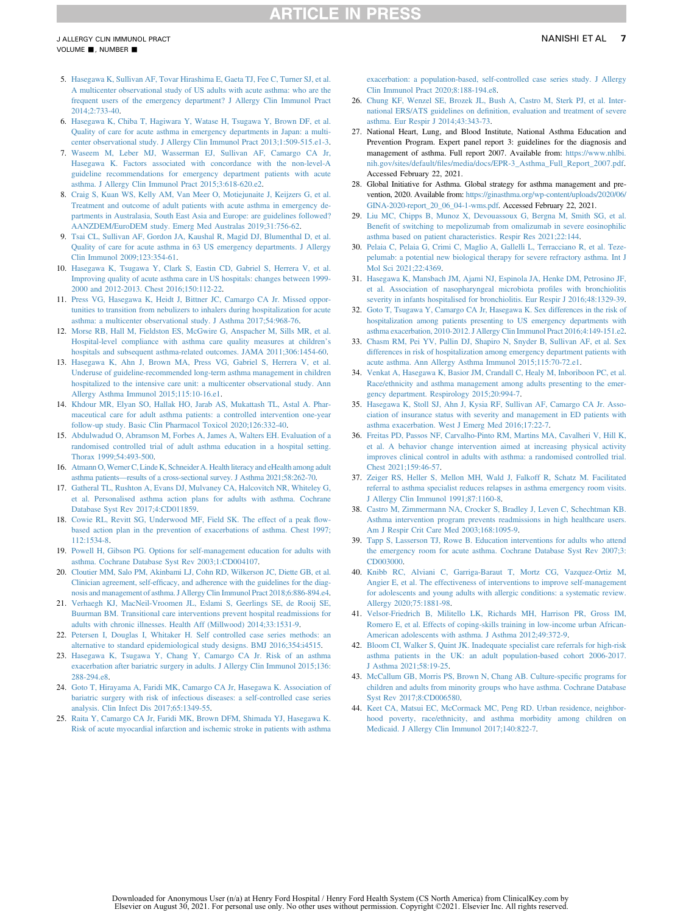### **RTICLE IN PRESS**

- <span id="page-8-0"></span>5. [Hasegawa K, Sullivan AF, Tovar Hirashima E, Gaeta TJ, Fee C, Turner SJ, et al.](http://refhub.elsevier.com/S2213-2198(21)00775-3/sref5) [A multicenter observational study of US adults with acute asthma: who are the](http://refhub.elsevier.com/S2213-2198(21)00775-3/sref5) [frequent users of the emergency department? J Allergy Clin Immunol Pract](http://refhub.elsevier.com/S2213-2198(21)00775-3/sref5)  $2014.2.733 - 40$
- <span id="page-8-10"></span>6. [Hasegawa K, Chiba T, Hagiwara Y, Watase H, Tsugawa Y, Brown DF, et al.](http://refhub.elsevier.com/S2213-2198(21)00775-3/sref6) [Quality of care for acute asthma in emergency departments in Japan: a multi](http://refhub.elsevier.com/S2213-2198(21)00775-3/sref6)[center observational study. J Allergy Clin Immunol Pract 2013;1:509-515.e1-3.](http://refhub.elsevier.com/S2213-2198(21)00775-3/sref6)
- 7. [Waseem M, Leber MJ, Wasserman EJ, Sullivan AF, Camargo CA Jr,](http://refhub.elsevier.com/S2213-2198(21)00775-3/sref7) [Hasegawa K. Factors associated with concordance with the non-level-A](http://refhub.elsevier.com/S2213-2198(21)00775-3/sref7) [guideline recommendations for emergency department patients with acute](http://refhub.elsevier.com/S2213-2198(21)00775-3/sref7) [asthma. J Allergy Clin Immunol Pract 2015;3:618-620.e2](http://refhub.elsevier.com/S2213-2198(21)00775-3/sref7).
- 8. [Craig S, Kuan WS, Kelly AM, Van Meer O, Motiejunaite J, Keijzers G, et al.](http://refhub.elsevier.com/S2213-2198(21)00775-3/sref8) [Treatment and outcome of adult patients with acute asthma in emergency de](http://refhub.elsevier.com/S2213-2198(21)00775-3/sref8)[partments in Australasia, South East Asia and Europe: are guidelines followed?](http://refhub.elsevier.com/S2213-2198(21)00775-3/sref8) [AANZDEM/EuroDEM study. Emerg Med Australas 2019;31:756-62.](http://refhub.elsevier.com/S2213-2198(21)00775-3/sref8)
- 9. [Tsai CL, Sullivan AF, Gordon JA, Kaushal R, Magid DJ, Blumenthal D, et al.](http://refhub.elsevier.com/S2213-2198(21)00775-3/sref9) [Quality of care for acute asthma in 63 US emergency departments. J Allergy](http://refhub.elsevier.com/S2213-2198(21)00775-3/sref9) [Clin Immunol 2009;123:354-61](http://refhub.elsevier.com/S2213-2198(21)00775-3/sref9).
- <span id="page-8-1"></span>10. [Hasegawa K, Tsugawa Y, Clark S, Eastin CD, Gabriel S, Herrera V, et al.](http://refhub.elsevier.com/S2213-2198(21)00775-3/sref10) [Improving quality of acute asthma care in US hospitals: changes between 1999-](http://refhub.elsevier.com/S2213-2198(21)00775-3/sref10) [2000 and 2012-2013. Chest 2016;150:112-22](http://refhub.elsevier.com/S2213-2198(21)00775-3/sref10).
- 11. [Press VG, Hasegawa K, Heidt J, Bittner JC, Camargo CA Jr. Missed oppor](http://refhub.elsevier.com/S2213-2198(21)00775-3/sref11)[tunities to transition from nebulizers to inhalers during hospitalization for acute](http://refhub.elsevier.com/S2213-2198(21)00775-3/sref11) [asthma: a multicenter observational study. J Asthma 2017;54:968-76.](http://refhub.elsevier.com/S2213-2198(21)00775-3/sref11)
- <span id="page-8-2"></span>12. [Morse RB, Hall M, Fieldston ES, McGwire G, Anspacher M, Sills MR, et al.](http://refhub.elsevier.com/S2213-2198(21)00775-3/sref12) [Hospital-level compliance with asthma care quality measures at children](http://refhub.elsevier.com/S2213-2198(21)00775-3/sref12)'s [hospitals and subsequent asthma-related outcomes. JAMA 2011;306:1454-60.](http://refhub.elsevier.com/S2213-2198(21)00775-3/sref12)
- <span id="page-8-3"></span>13. [Hasegawa K, Ahn J, Brown MA, Press VG, Gabriel S, Herrera V, et al.](http://refhub.elsevier.com/S2213-2198(21)00775-3/sref13) [Underuse of guideline-recommended long-term asthma management in children](http://refhub.elsevier.com/S2213-2198(21)00775-3/sref13) [hospitalized to the intensive care unit: a multicenter observational study. Ann](http://refhub.elsevier.com/S2213-2198(21)00775-3/sref13) [Allergy Asthma Immunol 2015;115:10-16.e1.](http://refhub.elsevier.com/S2213-2198(21)00775-3/sref13)
- <span id="page-8-4"></span>14. [Khdour MR, Elyan SO, Hallak HO, Jarab AS, Mukattash TL, Astal A. Phar](http://refhub.elsevier.com/S2213-2198(21)00775-3/sref14)[maceutical care for adult asthma patients: a controlled intervention one-year](http://refhub.elsevier.com/S2213-2198(21)00775-3/sref14) [follow-up study. Basic Clin Pharmacol Toxicol 2020;126:332-40](http://refhub.elsevier.com/S2213-2198(21)00775-3/sref14).
- 15. [Abdulwadud O, Abramson M, Forbes A, James A, Walters EH. Evaluation of a](http://refhub.elsevier.com/S2213-2198(21)00775-3/sref15) [randomised controlled trial of adult asthma education in a hospital setting.](http://refhub.elsevier.com/S2213-2198(21)00775-3/sref15) [Thorax 1999;54:493-500](http://refhub.elsevier.com/S2213-2198(21)00775-3/sref15).
- 16. [Atmann O,Werner C, Linde K, Schneider A. Health literacy and eHealth among adult](http://refhub.elsevier.com/S2213-2198(21)00775-3/sref16) asthma patients—[results of a cross-sectional survey. J Asthma 2021;58:262-70](http://refhub.elsevier.com/S2213-2198(21)00775-3/sref16).
- <span id="page-8-5"></span>17. [Gatheral TL, Rushton A, Evans DJ, Mulvaney CA, Halcovitch NR, Whiteley G,](http://refhub.elsevier.com/S2213-2198(21)00775-3/sref17) [et al. Personalised asthma action plans for adults with asthma. Cochrane](http://refhub.elsevier.com/S2213-2198(21)00775-3/sref17) [Database Syst Rev 2017;4:CD011859](http://refhub.elsevier.com/S2213-2198(21)00775-3/sref17).
- 18. [Cowie RL, Revitt SG, Underwood MF, Field SK. The effect of a peak](http://refhub.elsevier.com/S2213-2198(21)00775-3/sref18) flow[based action plan in the prevention of exacerbations of asthma. Chest 1997;](http://refhub.elsevier.com/S2213-2198(21)00775-3/sref18) [112:1534-8](http://refhub.elsevier.com/S2213-2198(21)00775-3/sref18).
- 19. [Powell H, Gibson PG. Options for self-management education for adults with](http://refhub.elsevier.com/S2213-2198(21)00775-3/sref19) [asthma. Cochrane Database Syst Rev 2003;1:CD004107.](http://refhub.elsevier.com/S2213-2198(21)00775-3/sref19)
- <span id="page-8-6"></span>20. [Cloutier MM, Salo PM, Akinbami LJ, Cohn RD, Wilkerson JC, Diette GB, et al.](http://refhub.elsevier.com/S2213-2198(21)00775-3/sref20) Clinician agreement, self-effi[cacy, and adherence with the guidelines for the diag](http://refhub.elsevier.com/S2213-2198(21)00775-3/sref20)[nosis and management of asthma. J Allergy Clin Immunol Pract 2018;6:886-894.e4.](http://refhub.elsevier.com/S2213-2198(21)00775-3/sref20)
- <span id="page-8-7"></span>21. [Verhaegh KJ, MacNeil-Vroomen JL, Eslami S, Geerlings SE, de Rooij SE,](http://refhub.elsevier.com/S2213-2198(21)00775-3/sref21) [Buurman BM. Transitional care interventions prevent hospital readmissions for](http://refhub.elsevier.com/S2213-2198(21)00775-3/sref21) [adults with chronic illnesses. Health Aff \(Millwood\) 2014;33:1531-9](http://refhub.elsevier.com/S2213-2198(21)00775-3/sref21).
- <span id="page-8-8"></span>22. [Petersen I, Douglas I, Whitaker H. Self controlled case series methods: an](http://refhub.elsevier.com/S2213-2198(21)00775-3/sref22) [alternative to standard epidemiological study designs. BMJ 2016;354:i4515.](http://refhub.elsevier.com/S2213-2198(21)00775-3/sref22)
- 23. [Hasegawa K, Tsugawa Y, Chang Y, Camargo CA Jr. Risk of an asthma](http://refhub.elsevier.com/S2213-2198(21)00775-3/sref23) [exacerbation after bariatric surgery in adults. J Allergy Clin Immunol 2015;136:](http://refhub.elsevier.com/S2213-2198(21)00775-3/sref23) [288-294.e8.](http://refhub.elsevier.com/S2213-2198(21)00775-3/sref23)
- 24. [Goto T, Hirayama A, Faridi MK, Camargo CA Jr, Hasegawa K. Association of](http://refhub.elsevier.com/S2213-2198(21)00775-3/sref24) [bariatric surgery with risk of infectious diseases: a self-controlled case series](http://refhub.elsevier.com/S2213-2198(21)00775-3/sref24) [analysis. Clin Infect Dis 2017;65:1349-55.](http://refhub.elsevier.com/S2213-2198(21)00775-3/sref24)
- 25. [Raita Y, Camargo CA Jr, Faridi MK, Brown DFM, Shimada YJ, Hasegawa K.](http://refhub.elsevier.com/S2213-2198(21)00775-3/sref25) [Risk of acute myocardial infarction and ischemic stroke in patients with asthma](http://refhub.elsevier.com/S2213-2198(21)00775-3/sref25)

[exacerbation: a population-based, self-controlled case series study. J Allergy](http://refhub.elsevier.com/S2213-2198(21)00775-3/sref25) [Clin Immunol Pract 2020;8:188-194.e8](http://refhub.elsevier.com/S2213-2198(21)00775-3/sref25).

- <span id="page-8-9"></span>26. [Chung KF, Wenzel SE, Brozek JL, Bush A, Castro M, Sterk PJ, et al. Inter](http://refhub.elsevier.com/S2213-2198(21)00775-3/sref26)national ERS/ATS guidelines on defi[nition, evaluation and treatment of severe](http://refhub.elsevier.com/S2213-2198(21)00775-3/sref26) [asthma. Eur Respir J 2014;43:343-73.](http://refhub.elsevier.com/S2213-2198(21)00775-3/sref26)
- <span id="page-8-11"></span>27. National Heart, Lung, and Blood Institute, National Asthma Education and Prevention Program. Expert panel report 3: guidelines for the diagnosis and management of asthma. Full report 2007. Available from: [https://www.nhlbi.](https://www.nhlbi.nih.gov/sites/default/files/media/docs/EPR-3_Asthma_Full_Report_2007.pdf) nih.gov/sites/default/fi[les/media/docs/EPR-3\\_Asthma\\_Full\\_Report\\_2007.pdf](https://www.nhlbi.nih.gov/sites/default/files/media/docs/EPR-3_Asthma_Full_Report_2007.pdf). Accessed February 22, 2021.
- <span id="page-8-12"></span>28. Global Initiative for Asthma. Global strategy for asthma management and prevention, 2020. Available from: [https://ginasthma.org/wp-content/uploads/2020/06/](https://ginasthma.org/wp-content/uploads/2020/06/GINA-2020-report_20_06_04-1-wms.pdf) [GINA-2020-report\\_20\\_06\\_04-1-wms.pdf.](https://ginasthma.org/wp-content/uploads/2020/06/GINA-2020-report_20_06_04-1-wms.pdf) Accessed February 22, 2021.
- <span id="page-8-13"></span>29. [Liu MC, Chipps B, Munoz X, Devouassoux G, Bergna M, Smith SG, et al.](http://refhub.elsevier.com/S2213-2198(21)00775-3/sref29) Benefi[t of switching to mepolizumab from omalizumab in severe eosinophilic](http://refhub.elsevier.com/S2213-2198(21)00775-3/sref29) [asthma based on patient characteristics. Respir Res 2021;22:144](http://refhub.elsevier.com/S2213-2198(21)00775-3/sref29).
- <span id="page-8-14"></span>30. [Pelaia C, Pelaia G, Crimi C, Maglio A, Gallelli L, Terracciano R, et al. Teze](http://refhub.elsevier.com/S2213-2198(21)00775-3/sref30)[pelumab: a potential new biological therapy for severe refractory asthma. Int J](http://refhub.elsevier.com/S2213-2198(21)00775-3/sref30) [Mol Sci 2021;22:4369.](http://refhub.elsevier.com/S2213-2198(21)00775-3/sref30)
- <span id="page-8-15"></span>31. [Hasegawa K, Mansbach JM, Ajami NJ, Espinola JA, Henke DM, Petrosino JF,](http://refhub.elsevier.com/S2213-2198(21)00775-3/sref31) [et al. Association of nasopharyngeal microbiota pro](http://refhub.elsevier.com/S2213-2198(21)00775-3/sref31)files with bronchiolitis [severity in infants hospitalised for bronchiolitis. Eur Respir J 2016;48:1329-39.](http://refhub.elsevier.com/S2213-2198(21)00775-3/sref31)
- <span id="page-8-16"></span>32. [Goto T, Tsugawa Y, Camargo CA Jr, Hasegawa K. Sex differences in the risk of](http://refhub.elsevier.com/S2213-2198(21)00775-3/sref32) [hospitalization among patients presenting to US emergency departments with](http://refhub.elsevier.com/S2213-2198(21)00775-3/sref32) [asthma exacerbation, 2010-2012. J Allergy Clin Immunol Pract 2016;4:149-151.e2.](http://refhub.elsevier.com/S2213-2198(21)00775-3/sref32)
- 33. [Chasm RM, Pei YV, Pallin DJ, Shapiro N, Snyder B, Sullivan AF, et al. Sex](http://refhub.elsevier.com/S2213-2198(21)00775-3/sref33) [differences in risk of hospitalization among emergency department patients with](http://refhub.elsevier.com/S2213-2198(21)00775-3/sref33) [acute asthma. Ann Allergy Asthma Immunol 2015;115:70-72.e1.](http://refhub.elsevier.com/S2213-2198(21)00775-3/sref33)
- 34. [Venkat A, Hasegawa K, Basior JM, Crandall C, Healy M, Inboriboon PC, et al.](http://refhub.elsevier.com/S2213-2198(21)00775-3/sref34) [Race/ethnicity and asthma management among adults presenting to the emer](http://refhub.elsevier.com/S2213-2198(21)00775-3/sref34)[gency department. Respirology 2015;20:994-7](http://refhub.elsevier.com/S2213-2198(21)00775-3/sref34).
- 35. [Hasegawa K, Stoll SJ, Ahn J, Kysia RF, Sullivan AF, Camargo CA Jr. Asso](http://refhub.elsevier.com/S2213-2198(21)00775-3/sref35)[ciation of insurance status with severity and management in ED patients with](http://refhub.elsevier.com/S2213-2198(21)00775-3/sref35) [asthma exacerbation. West J Emerg Med 2016;17:22-7](http://refhub.elsevier.com/S2213-2198(21)00775-3/sref35).
- <span id="page-8-17"></span>36. [Freitas PD, Passos NF, Carvalho-Pinto RM, Martins MA, Cavalheri V, Hill K,](http://refhub.elsevier.com/S2213-2198(21)00775-3/sref36) [et al. A behavior change intervention aimed at increasing physical activity](http://refhub.elsevier.com/S2213-2198(21)00775-3/sref36) [improves clinical control in adults with asthma: a randomised controlled trial.](http://refhub.elsevier.com/S2213-2198(21)00775-3/sref36) [Chest 2021;159:46-57.](http://refhub.elsevier.com/S2213-2198(21)00775-3/sref36)
- <span id="page-8-18"></span>37. [Zeiger RS, Heller S, Mellon MH, Wald J, Falkoff R, Schatz M. Facilitated](http://refhub.elsevier.com/S2213-2198(21)00775-3/sref37) [referral to asthma specialist reduces relapses in asthma emergency room visits.](http://refhub.elsevier.com/S2213-2198(21)00775-3/sref37) [J Allergy Clin Immunol 1991;87:1160-8](http://refhub.elsevier.com/S2213-2198(21)00775-3/sref37).
- <span id="page-8-19"></span>38. [Castro M, Zimmermann NA, Crocker S, Bradley J, Leven C, Schechtman KB.](http://refhub.elsevier.com/S2213-2198(21)00775-3/sref38) [Asthma intervention program prevents readmissions in high healthcare users.](http://refhub.elsevier.com/S2213-2198(21)00775-3/sref38) [Am J Respir Crit Care Med 2003;168:1095-9.](http://refhub.elsevier.com/S2213-2198(21)00775-3/sref38)
- <span id="page-8-20"></span>39. [Tapp S, Lasserson TJ, Rowe B. Education interventions for adults who attend](http://refhub.elsevier.com/S2213-2198(21)00775-3/sref39) [the emergency room for acute asthma. Cochrane Database Syst Rev 2007;3:](http://refhub.elsevier.com/S2213-2198(21)00775-3/sref39) [CD003000.](http://refhub.elsevier.com/S2213-2198(21)00775-3/sref39)
- 40. [Knibb RC, Alviani C, Garriga-Baraut T, Mortz CG, Vazquez-Ortiz M,](http://refhub.elsevier.com/S2213-2198(21)00775-3/sref40) [Angier E, et al. The effectiveness of interventions to improve self-management](http://refhub.elsevier.com/S2213-2198(21)00775-3/sref40) [for adolescents and young adults with allergic conditions: a systematic review.](http://refhub.elsevier.com/S2213-2198(21)00775-3/sref40) [Allergy 2020;75:1881-98.](http://refhub.elsevier.com/S2213-2198(21)00775-3/sref40)
- 41. [Velsor-Friedrich B, Militello LK, Richards MH, Harrison PR, Gross IM,](http://refhub.elsevier.com/S2213-2198(21)00775-3/sref41) [Romero E, et al. Effects of coping-skills training in low-income urban African-](http://refhub.elsevier.com/S2213-2198(21)00775-3/sref41)[American adolescents with asthma. J Asthma 2012;49:372-9.](http://refhub.elsevier.com/S2213-2198(21)00775-3/sref41)
- <span id="page-8-21"></span>42. [Bloom CI, Walker S, Quint JK. Inadequate specialist care referrals for high-risk](http://refhub.elsevier.com/S2213-2198(21)00775-3/sref42) [asthma patients in the UK: an adult population-based cohort 2006-2017.](http://refhub.elsevier.com/S2213-2198(21)00775-3/sref42) [J Asthma 2021;58:19-25](http://refhub.elsevier.com/S2213-2198(21)00775-3/sref42).
- <span id="page-8-22"></span>43. [McCallum GB, Morris PS, Brown N, Chang AB. Culture-speci](http://refhub.elsevier.com/S2213-2198(21)00775-3/sref43)fic programs for [children and adults from minority groups who have asthma. Cochrane Database](http://refhub.elsevier.com/S2213-2198(21)00775-3/sref43) [Syst Rev 2017;8:CD006580.](http://refhub.elsevier.com/S2213-2198(21)00775-3/sref43)
- <span id="page-8-23"></span>44. [Keet CA, Matsui EC, McCormack MC, Peng RD. Urban residence, neighbor](http://refhub.elsevier.com/S2213-2198(21)00775-3/sref44)[hood poverty, race/ethnicity, and asthma morbidity among children on](http://refhub.elsevier.com/S2213-2198(21)00775-3/sref44) [Medicaid. J Allergy Clin Immunol 2017;140:822-7](http://refhub.elsevier.com/S2213-2198(21)00775-3/sref44).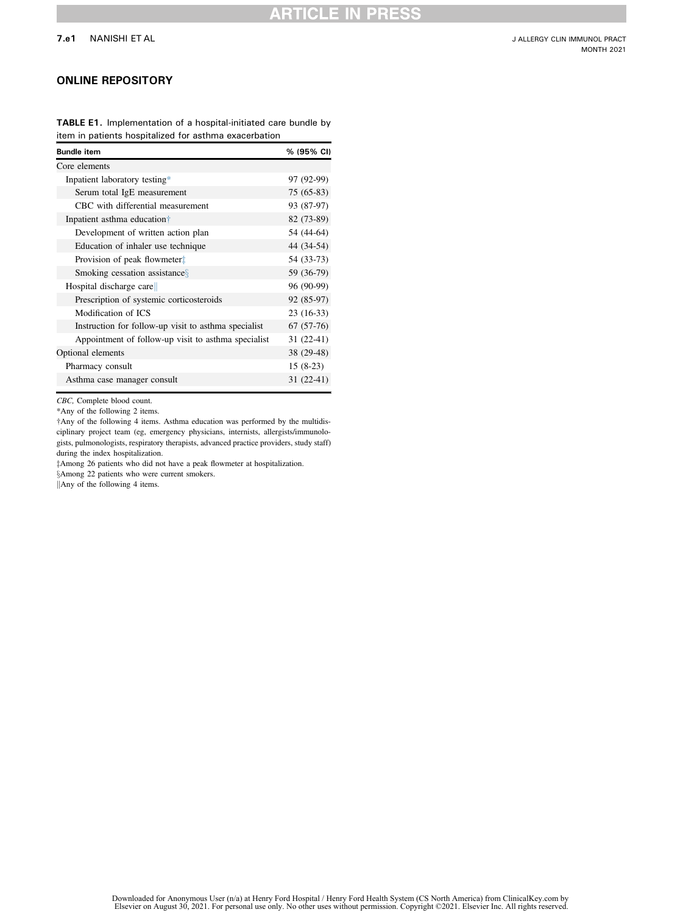#### J ALLERGY CLIN IMMUNOL PRACT MONTH 2021

### ONLINE REPOSITORY

<span id="page-9-0"></span>

| <b>TABLE E1.</b> Implementation of a hospital-initiated care bundle by |  |  |  |
|------------------------------------------------------------------------|--|--|--|
| item in patients hospitalized for asthma exacerbation                  |  |  |  |

| <b>Bundle item</b>                                   | % (95% CI)  |
|------------------------------------------------------|-------------|
| Core elements                                        |             |
| Inpatient laboratory testing*                        | 97 (92-99)  |
| Serum total IgE measurement                          | 75 (65-83)  |
| CBC with differential measurement                    | 93 (87-97)  |
| Inpatient asthma education <sup>†</sup>              | 82 (73-89)  |
| Development of written action plan                   | 54 (44-64)  |
| Education of inhaler use technique                   | 44 (34-54)  |
| Provision of peak flowmeter                          | 54 (33-73)  |
| Smoking cessation assistance $\S$                    | 59 (36-79)  |
| Hospital discharge care                              | 96 (90-99)  |
| Prescription of systemic corticosteroids             | 92 (85-97)  |
| Modification of ICS                                  | $23(16-33)$ |
| Instruction for follow-up visit to asthma specialist | $67(57-76)$ |
| Appointment of follow-up visit to asthma specialist  | $31(22-41)$ |
| Optional elements                                    | 38 (29-48)  |
| Pharmacy consult                                     | $15(8-23)$  |
| Asthma case manager consult                          | $31(22-41)$ |

CBC, Complete blood count.

<span id="page-9-1"></span>\*Any of the following 2 items.

<span id="page-9-2"></span>†Any of the following 4 items. Asthma education was performed by the multidisciplinary project team (eg, emergency physicians, internists, allergists/immunologists, pulmonologists, respiratory therapists, advanced practice providers, study staff) during the index hospitalization.

<sup>z</sup>Among 26 patients who did not have a peak flowmeter at hospitalization.

§Among 22 patients who were current smokers.

 $\parallel$  Any of the following 4 items.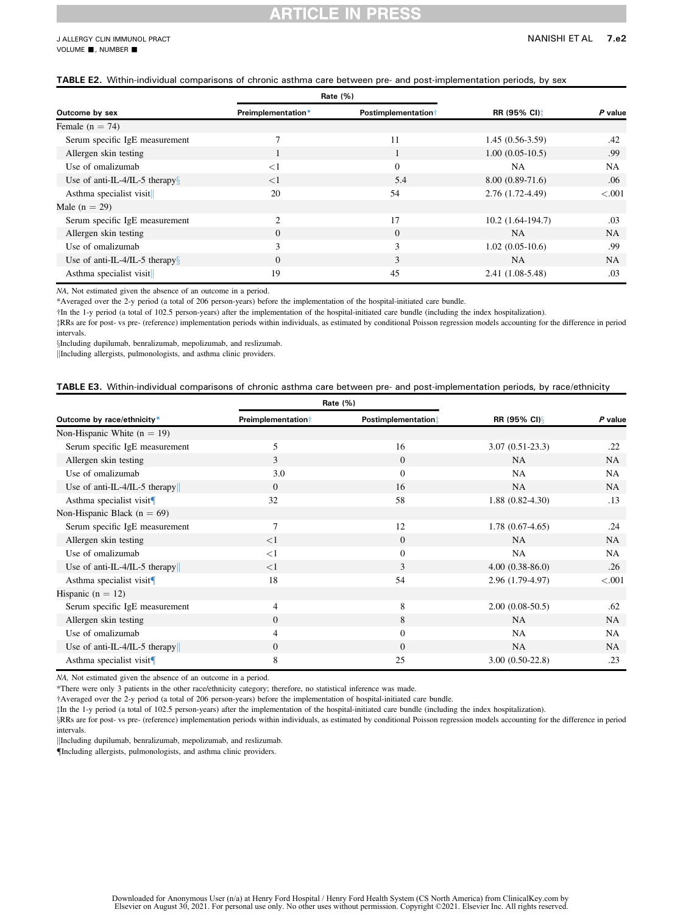## CLE

#### <span id="page-10-0"></span>TABLE E2. Within-individual comparisons of chronic asthma care between pre- and post-implementation periods, by sex

|                                    | Rate $(%)$                  |                             |                                 |           |
|------------------------------------|-----------------------------|-----------------------------|---------------------------------|-----------|
| Outcome by sex                     | Preimplementation*          | <b>Postimplementation</b> † | <b>RR (95% CI)</b> <sup>t</sup> | P value   |
| Female $(n = 74)$                  |                             |                             |                                 |           |
| Serum specific IgE measurement     |                             | 11                          | $1.45(0.56-3.59)$               | .42       |
| Allergen skin testing              |                             |                             | $1.00(0.05-10.5)$               | .99       |
| Use of omalizumab                  | <1                          | $\Omega$                    | NA                              | <b>NA</b> |
| Use of anti-IL-4/IL-5 therapy $\S$ | $\leq$ 1                    | 5.4                         | $8.00(0.89-71.6)$               | .06       |
| Asthma specialist visit            | 20                          | 54                          | 2.76 (1.72-4.49)                | < 0.001   |
| Male $(n = 29)$                    |                             |                             |                                 |           |
| Serum specific IgE measurement     | $\mathcal{D}_{\mathcal{L}}$ | 17                          | $10.2(1.64-194.7)$              | .03       |
| Allergen skin testing              | $\Omega$                    | $\Omega$                    | <b>NA</b>                       | <b>NA</b> |
| Use of omalizumab                  | 3                           | 3                           | $1.02(0.05-10.6)$               | .99       |
| Use of anti-IL-4/IL-5 therapy $\S$ | $\Omega$                    | 3                           | <b>NA</b>                       | <b>NA</b> |
| Asthma specialist visit            | 19                          | 45                          | 2.41 (1.08-5.48)                | .03       |

NA, Not estimated given the absence of an outcome in a period.

<span id="page-10-2"></span>\*Averaged over the 2-y period (a total of 206 person-years) before the implementation of the hospital-initiated care bundle.

<span id="page-10-3"></span>†In the 1-y period (a total of 102.5 person-years) after the implementation of the hospital-initiated care bundle (including the index hospitalization).

zRRs are for post- vs pre- (reference) implementation periods within individuals, as estimated by conditional Poisson regression models accounting for the difference in period intervals.

xIncluding dupilumab, benralizumab, mepolizumab, and reslizumab.

||Including allergists, pulmonologists, and asthma clinic providers.

#### <span id="page-10-1"></span>TABLE E3. Within-individual comparisons of chronic asthma care between pre- and post-implementation periods, by race/ethnicity

|                                |                                | Rate $(%)$          |                     |           |  |
|--------------------------------|--------------------------------|---------------------|---------------------|-----------|--|
| Outcome by race/ethnicity*     | Preimplementation <sup>+</sup> | Postimplementation! | RR (95% CI) §       | P value   |  |
| Non-Hispanic White $(n = 19)$  |                                |                     |                     |           |  |
| Serum specific IgE measurement | 5                              | 16                  | $3.07(0.51-23.3)$   | .22       |  |
| Allergen skin testing          | 3                              | $\mathbf{0}$        | <b>NA</b>           | <b>NA</b> |  |
| Use of omalizumab              | 3.0                            | $\Omega$            | <b>NA</b>           | <b>NA</b> |  |
| Use of anti-IL-4/IL-5 therapy  | $\theta$                       | 16                  | <b>NA</b>           | <b>NA</b> |  |
| Asthma specialist visit        | 32                             | 58                  | $1.88(0.82 - 4.30)$ | .13       |  |
| Non-Hispanic Black $(n = 69)$  |                                |                     |                     |           |  |
| Serum specific IgE measurement | $\overline{7}$                 | 12                  | $1.78(0.67-4.65)$   | .24       |  |
| Allergen skin testing          | <1                             | $\mathbf{0}$        | <b>NA</b>           | <b>NA</b> |  |
| Use of omalizumab              | $<$ 1                          | $\Omega$            | <b>NA</b>           | NA        |  |
| Use of anti-IL-4/IL-5 therapy  | <1                             | 3                   | $4.00(0.38-86.0)$   | .26       |  |
| Asthma specialist visit        | 18                             | 54                  | 2.96 (1.79-4.97)    | < .001    |  |
| Hispanic $(n = 12)$            |                                |                     |                     |           |  |
| Serum specific IgE measurement | 4                              | 8                   | $2.00(0.08-50.5)$   | .62       |  |
| Allergen skin testing          | $\theta$                       | 8                   | <b>NA</b>           | <b>NA</b> |  |
| Use of omalizumab              | $\overline{4}$                 | $\mathbf{0}$        | <b>NA</b>           | NA        |  |
| Use of anti-IL-4/IL-5 therapy  | $\theta$                       | $\Omega$            | <b>NA</b>           | <b>NA</b> |  |
| Asthma specialist visit        | 8                              | 25                  | $3.00(0.50-22.8)$   | .23       |  |

NA, Not estimated given the absence of an outcome in a period.

<span id="page-10-4"></span>\*There were only 3 patients in the other race/ethnicity category; therefore, no statistical inference was made.

<span id="page-10-5"></span>†Averaged over the 2-y period (a total of 206 person-years) before the implementation of hospital-initiated care bundle.

zIn the 1-y period (a total of 102.5 person-years) after the implementation of the hospital-initiated care bundle (including the index hospitalization).

§RRs are for post- vs pre- (reference) implementation periods within individuals, as estimated by conditional Poisson regression models accounting for the difference in period intervals.

kIncluding dupilumab, benralizumab, mepolizumab, and reslizumab.

{Including allergists, pulmonologists, and asthma clinic providers.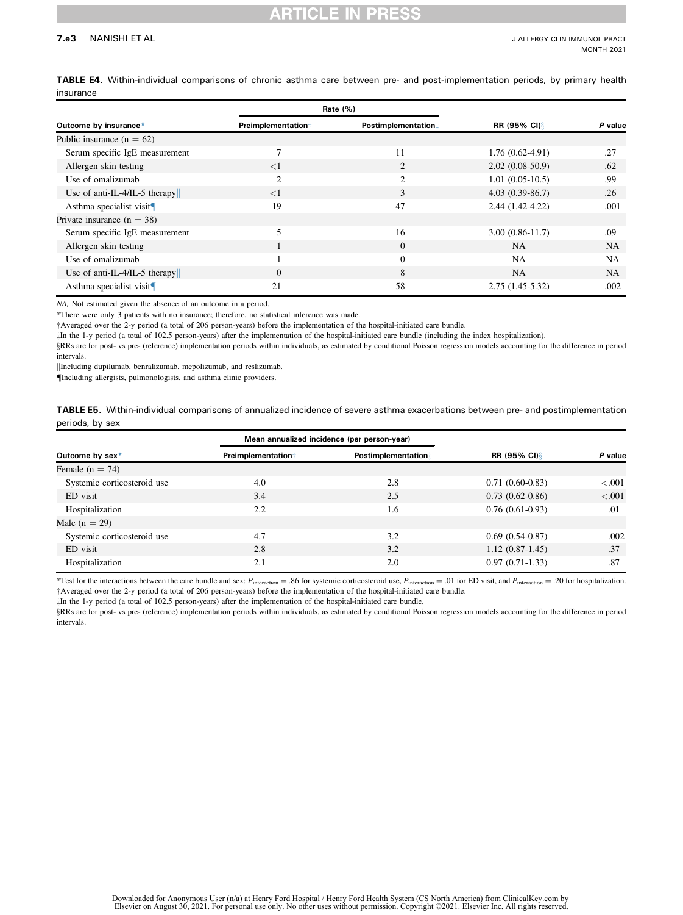### CLE

#### 7.e3 NANISHI ET AL

|                                | Rate $(\%)$                |                            |                     |           |
|--------------------------------|----------------------------|----------------------------|---------------------|-----------|
| Outcome by insurance*          | <b>Preimplementation</b> † | <b>Postimplementation!</b> | RR (95% CI)         | P value   |
| Public insurance $(n = 62)$    |                            |                            |                     |           |
| Serum specific IgE measurement | π                          | 11                         | $1.76(0.62-4.91)$   | .27       |
| Allergen skin testing          | $<$ 1                      | 2                          | $2.02(0.08-50.9)$   | .62       |
| Use of omalizumab              | $\overline{c}$             | $\overline{c}$             | $1.01(0.05-10.5)$   | .99       |
| Use of anti-IL-4/IL-5 therapy  | $<$ 1                      | 3                          | $4.03(0.39-86.7)$   | .26       |
| Asthma specialist visit        | 19                         | 47                         | $2.44(1.42-4.22)$   | .001      |
| Private insurance $(n = 38)$   |                            |                            |                     |           |
| Serum specific IgE measurement | 5                          | 16                         | $3.00(0.86 - 11.7)$ | .09       |
| Allergen skin testing          |                            | $\overline{0}$             | <b>NA</b>           | <b>NA</b> |
| Use of omalizumab              |                            | $\theta$                   | <b>NA</b>           | <b>NA</b> |
| Use of anti-IL-4/IL-5 therapy  | $\Omega$                   | 8                          | <b>NA</b>           | <b>NA</b> |
| Asthma specialist visit        | 21                         | 58                         | $2.75(1.45-5.32)$   | .002      |

<span id="page-11-0"></span>TABLE E4. Within-individual comparisons of chronic asthma care between pre- and post-implementation periods, by primary health insurance

NA, Not estimated given the absence of an outcome in a period.

<span id="page-11-2"></span>\*There were only 3 patients with no insurance; therefore, no statistical inference was made.

<span id="page-11-3"></span>†Averaged over the 2-y period (a total of 206 person-years) before the implementation of the hospital-initiated care bundle.

zIn the 1-y period (a total of 102.5 person-years) after the implementation of the hospital-initiated care bundle (including the index hospitalization).

xRRs are for post- vs pre- (reference) implementation periods within individuals, as estimated by conditional Poisson regression models accounting for the difference in period intervals.

kIncluding dupilumab, benralizumab, mepolizumab, and reslizumab.

{Including allergists, pulmonologists, and asthma clinic providers.

<span id="page-11-1"></span>TABLE E5. Within-individual comparisons of annualized incidence of severe asthma exacerbations between pre- and postimplementation periods, by sex

|                             | Mean annualized incidence (per person-year) |                     |                      |         |  |
|-----------------------------|---------------------------------------------|---------------------|----------------------|---------|--|
| Outcome by sex*             | <b>Preimplementation</b> †                  | Postimplementationt | <b>RR (95% CI)</b> § | P value |  |
| Female $(n = 74)$           |                                             |                     |                      |         |  |
| Systemic corticosteroid use | 4.0                                         | 2.8                 | $0.71(0.60-0.83)$    | < 0.001 |  |
| ED visit                    | 3.4                                         | 2.5                 | $0.73(0.62-0.86)$    | < 0.001 |  |
| Hospitalization             | 2.2                                         | 1.6                 | $0.76(0.61-0.93)$    | .01     |  |
| Male $(n = 29)$             |                                             |                     |                      |         |  |
| Systemic corticosteroid use | 4.7                                         | 3.2                 | $0.69(0.54-0.87)$    | .002    |  |
| ED visit                    | 2.8                                         | 3.2                 | $1.12(0.87-1.45)$    | .37     |  |
| Hospitalization             | 2.1                                         | 2.0                 | $0.97(0.71-1.33)$    | .87     |  |

<span id="page-11-5"></span><span id="page-11-4"></span>\*Test for the interactions between the care bundle and sex:  $P_{\text{interaction}} = .86$  for systemic corticosteroid use,  $P_{\text{interaction}} = .01$  for ED visit, and  $P_{\text{interaction}} = .20$  for hospitalization. †Averaged over the 2-y period (a total of 206 person-years) before the implementation of the hospital-initiated care bundle.

zIn the 1-y period (a total of 102.5 person-years) after the implementation of the hospital-initiated care bundle.

xRRs are for post- vs pre- (reference) implementation periods within individuals, as estimated by conditional Poisson regression models accounting for the difference in period intervals.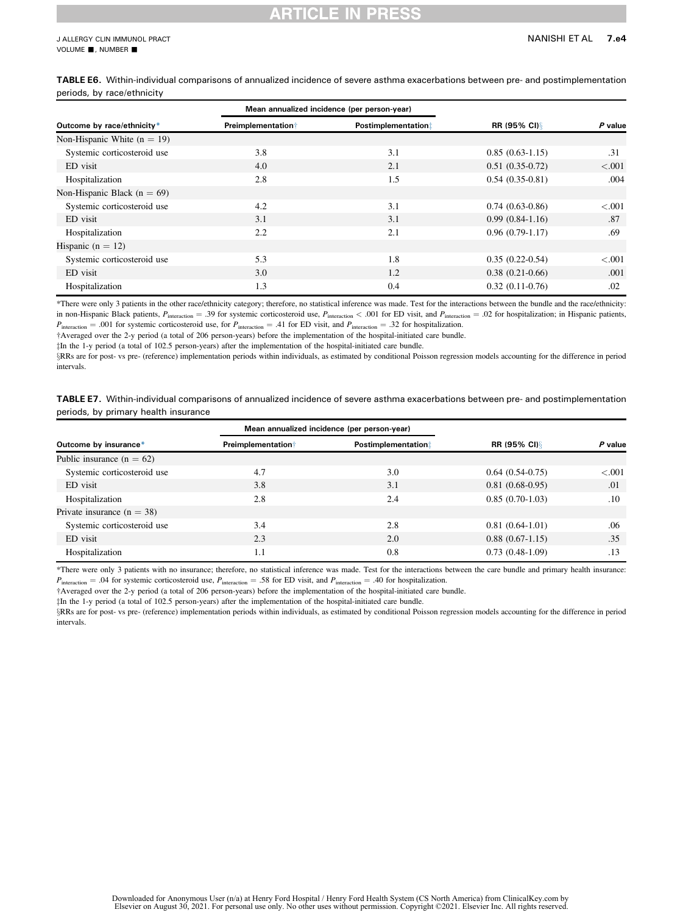## **RTICLE IN PRES**

<span id="page-12-0"></span>TABLE E6. Within-individual comparisons of annualized incidence of severe asthma exacerbations between pre- and postimplementation periods, by race/ethnicity

|                               | Mean annualized incidence (per person-year) |                     |                    |         |  |
|-------------------------------|---------------------------------------------|---------------------|--------------------|---------|--|
| Outcome by race/ethnicity*    | <b>Preimplementation</b> †                  | Postimplementation! | <b>RR (95% CI)</b> | P value |  |
| Non-Hispanic White $(n = 19)$ |                                             |                     |                    |         |  |
| Systemic corticosteroid use   | 3.8                                         | 3.1                 | $0.85(0.63-1.15)$  | .31     |  |
| ED visit                      | 4.0                                         | 2.1                 | $0.51(0.35-0.72)$  | < .001  |  |
| Hospitalization               | 2.8                                         | 1.5                 | $0.54(0.35-0.81)$  | .004    |  |
| Non-Hispanic Black $(n = 69)$ |                                             |                     |                    |         |  |
| Systemic corticosteroid use   | 4.2                                         | 3.1                 | $0.74(0.63-0.86)$  | < .001  |  |
| ED visit                      | 3.1                                         | 3.1                 | $0.99(0.84-1.16)$  | .87     |  |
| Hospitalization               | 2.2                                         | 2.1                 | $0.96(0.79-1.17)$  | .69     |  |
| Hispanic ( $n = 12$ )         |                                             |                     |                    |         |  |
| Systemic corticosteroid use   | 5.3                                         | 1.8                 | $0.35(0.22-0.54)$  | < 0.001 |  |
| ED visit                      | 3.0                                         | 1.2                 | $0.38(0.21-0.66)$  | .001    |  |
| Hospitalization               | 1.3                                         | 0.4                 | $0.32(0.11-0.76)$  | $.02\,$ |  |

<span id="page-12-2"></span>\*There were only 3 patients in the other race/ethnicity category; therefore, no statistical inference was made. Test for the interactions between the bundle and the race/ethnicity: in non-Hispanic Black patients,  $P_{\text{interaction}} = .39$  for systemic corticosteroid use,  $P_{\text{interaction}} < .001$  for ED visit, and  $P_{\text{interaction}} = .02$  for hospitalization; in Hispanic patients,  $P_{\text{interaction}} = .001$  for systemic corticosteroid use, for  $P_{\text{interaction}} = .41$  for ED visit, and  $P_{\text{interaction}} = .32$  for hospitalization.

<span id="page-12-3"></span>†Averaged over the 2-y period (a total of 206 person-years) before the implementation of the hospital-initiated care bundle.

zIn the 1-y period (a total of 102.5 person-years) after the implementation of the hospital-initiated care bundle.

xRRs are for post- vs pre- (reference) implementation periods within individuals, as estimated by conditional Poisson regression models accounting for the difference in period intervals.

<span id="page-12-1"></span>TABLE E7. Within-individual comparisons of annualized incidence of severe asthma exacerbations between pre- and postimplementation periods, by primary health insurance

|                              | Mean annualized incidence (per person-year) |                            |                      |         |  |
|------------------------------|---------------------------------------------|----------------------------|----------------------|---------|--|
| Outcome by insurance*        | <b>Preimplementation</b> †                  | <b>Postimplementation!</b> | <b>RR (95% CI)</b> § | P value |  |
| Public insurance $(n = 62)$  |                                             |                            |                      |         |  |
| Systemic corticosteroid use  | 4.7                                         | 3.0                        | $0.64(0.54-0.75)$    | < 0.001 |  |
| ED visit                     | 3.8                                         | 3.1                        | $0.81(0.68-0.95)$    | .01     |  |
| Hospitalization              | 2.8                                         | 2.4                        | $0.85(0.70-1.03)$    | .10     |  |
| Private insurance $(n = 38)$ |                                             |                            |                      |         |  |
| Systemic corticosteroid use  | 3.4                                         | 2.8                        | $0.81(0.64-1.01)$    | .06     |  |
| ED visit                     | 2.3                                         | 2.0                        | $0.88(0.67-1.15)$    | .35     |  |
| Hospitalization              | 1.1                                         | 0.8                        | $0.73(0.48-1.09)$    | .13     |  |

<span id="page-12-4"></span>\*There were only 3 patients with no insurance; therefore, no statistical inference was made. Test for the interactions between the care bundle and primary health insurance:  $P_{\text{interaction}} = .04$  for systemic corticosteroid use,  $P_{\text{interaction}} = .58$  for ED visit, and  $P_{\text{interaction}} = .40$  for hospitalization.

<span id="page-12-5"></span>†Averaged over the 2-y period (a total of 206 person-years) before the implementation of the hospital-initiated care bundle.

zIn the 1-y period (a total of 102.5 person-years) after the implementation of the hospital-initiated care bundle.

xRRs are for post- vs pre- (reference) implementation periods within individuals, as estimated by conditional Poisson regression models accounting for the difference in period intervals.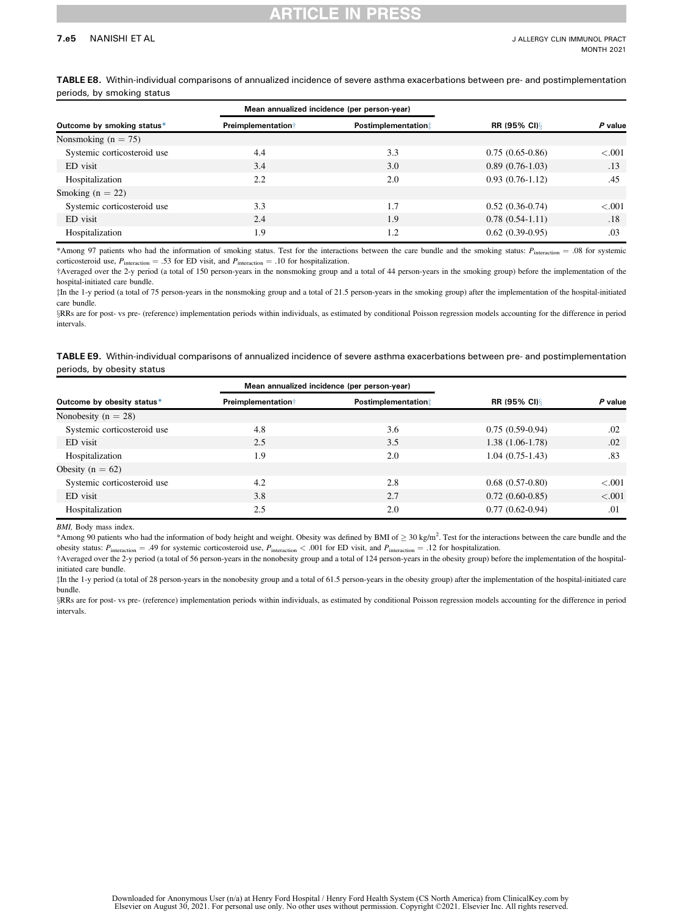### **RTICLE IN**

#### 7.e5 NANISHI ET AL

<span id="page-13-0"></span>TABLE E8. Within-individual comparisons of annualized incidence of severe asthma exacerbations between pre- and postimplementation periods, by smoking status

|                             |                            | Mean annualized incidence (per person-year) |                    |         |  |
|-----------------------------|----------------------------|---------------------------------------------|--------------------|---------|--|
| Outcome by smoking status*  | <b>Preimplementation</b> † | Postimplementationt                         | <b>RR (95% CI)</b> | P value |  |
| Nonsmoking ( $n = 75$ )     |                            |                                             |                    |         |  |
| Systemic corticosteroid use | 4.4                        | 3.3                                         | $0.75(0.65-0.86)$  | < 0.001 |  |
| ED visit                    | 3.4                        | 3.0                                         | $0.89(0.76-1.03)$  | .13     |  |
| Hospitalization             | 2.2                        | 2.0                                         | $0.93(0.76-1.12)$  | .45     |  |
| Smoking $(n = 22)$          |                            |                                             |                    |         |  |
| Systemic corticosteroid use | 3.3                        | 1.7                                         | $0.52(0.36-0.74)$  | < 0.001 |  |
| ED visit                    | 2.4                        | 1.9                                         | $0.78(0.54-1.11)$  | .18     |  |
| Hospitalization             | 1.9                        | 1.2                                         | $0.62(0.39-0.95)$  | .03     |  |

<span id="page-13-2"></span>\*Among 97 patients who had the information of smoking status. Test for the interactions between the care bundle and the smoking status:  $P_{interaction} = .08$  for systemic corticosteroid use,  $P_{\text{interaction}} = .53$  for ED visit, and  $P_{\text{interaction}} = .10$  for hospitalization.

<span id="page-13-3"></span>†Averaged over the 2-y period (a total of 150 person-years in the nonsmoking group and a total of 44 person-years in the smoking group) before the implementation of the hospital-initiated care bundle.

zIn the 1-y period (a total of 75 person-years in the nonsmoking group and a total of 21.5 person-years in the smoking group) after the implementation of the hospital-initiated care bundle.

xRRs are for post- vs pre- (reference) implementation periods within individuals, as estimated by conditional Poisson regression models accounting for the difference in period intervals.

<span id="page-13-1"></span>TABLE E9. Within-individual comparisons of annualized incidence of severe asthma exacerbations between pre- and postimplementation periods, by obesity status

|                             |                            | Mean annualized incidence (per person-year) |                    |         |  |
|-----------------------------|----------------------------|---------------------------------------------|--------------------|---------|--|
| Outcome by obesity status*  | <b>Preimplementation</b> † | <b>Postimplementation!</b>                  | <b>RR (95% CI)</b> | P value |  |
| Nonobesity ( $n = 28$ )     |                            |                                             |                    |         |  |
| Systemic corticosteroid use | 4.8                        | 3.6                                         | $0.75(0.59-0.94)$  | .02     |  |
| ED visit                    | 2.5                        | 3.5                                         | $1.38(1.06-1.78)$  | .02     |  |
| Hospitalization             | 1.9                        | 2.0                                         | $1.04(0.75-1.43)$  | .83     |  |
| Obesity ( $n = 62$ )        |                            |                                             |                    |         |  |
| Systemic corticosteroid use | 4.2                        | 2.8                                         | $0.68(0.57-0.80)$  | < 0.01  |  |
| ED visit                    | 3.8                        | 2.7                                         | $0.72(0.60-0.85)$  | < 0.001 |  |
| Hospitalization             | 2.5                        | 2.0                                         | $0.77(0.62-0.94)$  | .01     |  |

BMI, Body mass index.

<span id="page-13-4"></span>\*Among 90 patients who had the information of body height and weight. Obesity was defined by BMI of  $\geq$  30 kg/m<sup>2</sup>. Test for the interactions between the care bundle and the obesity status:  $P_{\text{interaction}} = .49$  for systemic corticosteroid use,  $P_{\text{interaction}} < .001$  for ED visit, and  $P_{\text{interaction}} = .12$  for hospitalization.

<span id="page-13-5"></span>†Averaged over the 2-y period (a total of 56 person-years in the nonobesity group and a total of 124 person-years in the obesity group) before the implementation of the hospitalinitiated care bundle.

zIn the 1-y period (a total of 28 person-years in the nonobesity group and a total of 61.5 person-years in the obesity group) after the implementation of the hospital-initiated care bundle.

§RRs are for post- vs pre- (reference) implementation periods within individuals, as estimated by conditional Poisson regression models accounting for the difference in period intervals.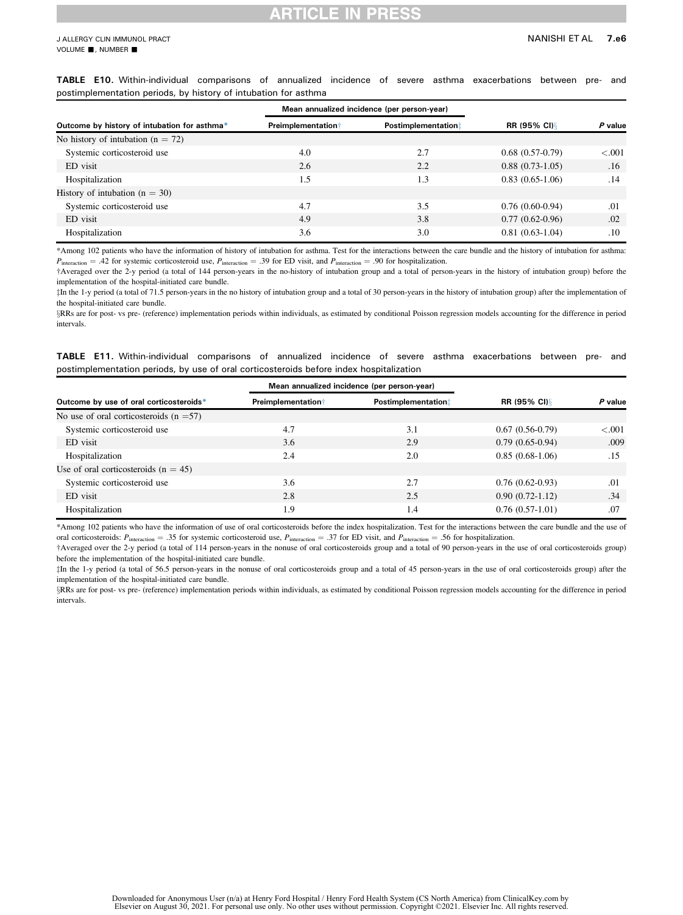### CLE .

<span id="page-14-0"></span>TABLE E10. Within-individual comparisons of annualized incidence of severe asthma exacerbations between pre- and postimplementation periods, by history of intubation for asthma

|                                              | Mean annualized incidence (per person-year) |                     |                    |         |  |
|----------------------------------------------|---------------------------------------------|---------------------|--------------------|---------|--|
| Outcome by history of intubation for asthma* | Preimplementation <sup>+</sup>              | Postimplementation! | <b>RR (95% CI)</b> | P value |  |
| No history of intubation ( $n = 72$ )        |                                             |                     |                    |         |  |
| Systemic corticosteroid use                  | 4.0                                         | 2.7                 | $0.68(0.57-0.79)$  | < 0.01  |  |
| ED visit                                     | 2.6                                         | 2.2                 | $0.88(0.73-1.05)$  | .16     |  |
| Hospitalization                              | 1.5                                         | 1.3                 | $0.83(0.65-1.06)$  | .14     |  |
| History of intubation $(n = 30)$             |                                             |                     |                    |         |  |
| Systemic corticosteroid use                  | 4.7                                         | 3.5                 | $0.76(0.60-0.94)$  | .01     |  |
| ED visit                                     | 4.9                                         | 3.8                 | $0.77(0.62-0.96)$  | .02     |  |
| Hospitalization                              | 3.6                                         | 3.0                 | $0.81(0.63-1.04)$  | .10     |  |

<span id="page-14-2"></span>\*Among 102 patients who have the information of history of intubation for asthma. Test for the interactions between the care bundle and the history of intubation for asthma:  $P_{\text{interaction}} = .42$  for systemic corticosteroid use,  $P_{\text{interaction}} = .39$  for ED visit, and  $P_{\text{interaction}} = .90$  for hospitalization.

<span id="page-14-3"></span>†Averaged over the 2-y period (a total of 144 person-years in the no-history of intubation group and a total of person-years in the history of intubation group) before the implementation of the hospital-initiated care bundle.

zIn the 1-y period (a total of 71.5 person-years in the no history of intubation group and a total of 30 person-years in the history of intubation group) after the implementation of the hospital-initiated care bundle.

xRRs are for post- vs pre- (reference) implementation periods within individuals, as estimated by conditional Poisson regression models accounting for the difference in period intervals.

<span id="page-14-1"></span>TABLE E11. Within-individual comparisons of annualized incidence of severe asthma exacerbations between pre- and postimplementation periods, by use of oral corticosteroids before index hospitalization

|                                           | Mean annualized incidence (per person-year) |                     |                   |         |
|-------------------------------------------|---------------------------------------------|---------------------|-------------------|---------|
| Outcome by use of oral corticosteroids*   | <b>Preimplementation</b> †                  | Postimplementationt | RR (95% CI)       | P value |
| No use of oral corticosteroids $(n = 57)$ |                                             |                     |                   |         |
| Systemic corticosteroid use               | 4.7                                         | 3.1                 | $0.67(0.56-0.79)$ | < 0.001 |
| ED visit                                  | 3.6                                         | 2.9                 | $0.79(0.65-0.94)$ | .009    |
| Hospitalization                           | 2.4                                         | 2.0                 | $0.85(0.68-1.06)$ | .15     |
| Use of oral corticosteroids $(n = 45)$    |                                             |                     |                   |         |
| Systemic corticosteroid use               | 3.6                                         | 2.7                 | $0.76(0.62-0.93)$ | .01     |
| ED visit                                  | 2.8                                         | 2.5                 | $0.90(0.72-1.12)$ | .34     |
| Hospitalization                           | 1.9                                         | 1.4                 | $0.76(0.57-1.01)$ | .07     |

<span id="page-14-4"></span>\*Among 102 patients who have the information of use of oral corticosteroids before the index hospitalization. Test for the interactions between the care bundle and the use of oral corticosteroids:  $P_{\text{interaction}} = .35$  for systemic corticosteroid use,  $P_{\text{interaction}} = .37$  for ED visit, and  $P_{\text{interaction}} = .56$  for hospitalization.

<span id="page-14-5"></span>†Averaged over the 2-y period (a total of 114 person-years in the nonuse of oral corticosteroids group and a total of 90 person-years in the use of oral corticosteroids group) before the implementation of the hospital-initiated care bundle.

zIn the 1-y period (a total of 56.5 person-years in the nonuse of oral corticosteroids group and a total of 45 person-years in the use of oral corticosteroids group) after the implementation of the hospital-initiated care bundle.

xRRs are for post- vs pre- (reference) implementation periods within individuals, as estimated by conditional Poisson regression models accounting for the difference in period intervals.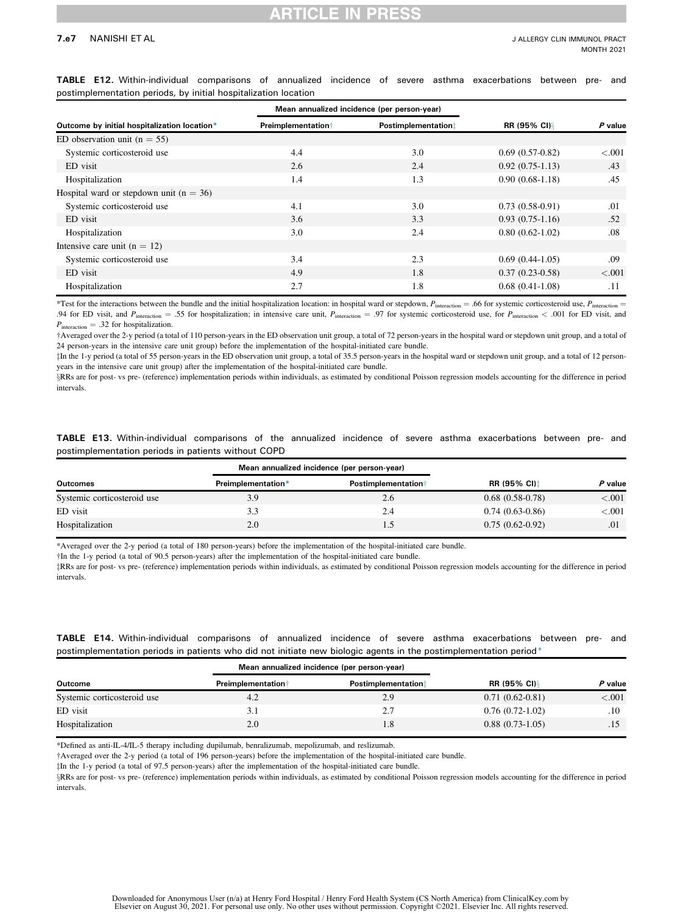#### 7.e7 NANISHI ET AL

|                                              | Mean annualized incidence (per person-year) |                     |                    |         |
|----------------------------------------------|---------------------------------------------|---------------------|--------------------|---------|
| Outcome by initial hospitalization location* | <b>Preimplementation</b> †                  | Postimplementation! | <b>RR (95% CI)</b> | P value |
| ED observation unit ( $n = 55$ )             |                                             |                     |                    |         |
| Systemic corticosteroid use                  | 4.4                                         | 3.0                 | $0.69(0.57-0.82)$  | < .001  |
| ED visit                                     | 2.6                                         | 2.4                 | $0.92(0.75-1.13)$  | .43     |
| Hospitalization                              | 1.4                                         | 1.3                 | $0.90(0.68-1.18)$  | .45     |
| Hospital ward or stepdown unit ( $n = 36$ )  |                                             |                     |                    |         |
| Systemic corticosteroid use                  | 4.1                                         | 3.0                 | $0.73(0.58-0.91)$  | .01     |
| ED visit                                     | 3.6                                         | 3.3                 | $0.93(0.75-1.16)$  | .52     |
| Hospitalization                              | 3.0                                         | 2.4                 | $0.80(0.62-1.02)$  | .08     |
| Intensive care unit $(n = 12)$               |                                             |                     |                    |         |
| Systemic corticosteroid use                  | 3.4                                         | 2.3                 | $0.69(0.44-1.05)$  | .09     |
| ED visit                                     | 4.9                                         | 1.8                 | $0.37(0.23-0.58)$  | < .001  |
| Hospitalization                              | 2.7                                         | 1.8                 | $0.68(0.41-1.08)$  | .11     |

<span id="page-15-0"></span>TABLE E12. Within-individual comparisons of annualized incidence of severe asthma exacerbations between pre- and postimplementation periods, by initial hospitalization location

<span id="page-15-3"></span>\*Test for the interactions between the bundle and the initial hospitalization location: in hospital ward or stepdown,  $P_{\text{interaction}} = .66$  for systemic corticosteroid use,  $P_{\text{interaction}} =$ .94 for ED visit, and  $P_{\text{interaction}} = .55$  for hospitalization; in intensive care unit,  $P_{\text{interaction}} = .97$  for systemic corticosteroid use, for  $P_{\text{interaction}} < .001$  for ED visit, and  $P_{\text{interaction}} = .32$  for hospitalization.

<span id="page-15-4"></span>†Averaged over the 2-y period (a total of 110 person-years in the ED observation unit group, a total of 72 person-years in the hospital ward or stepdown unit group, and a total of 24 person-years in the intensive care unit group) before the implementation of the hospital-initiated care bundle.

zIn the 1-y period (a total of 55 person-years in the ED observation unit group, a total of 35.5 person-years in the hospital ward or stepdown unit group, and a total of 12 personyears in the intensive care unit group) after the implementation of the hospital-initiated care bundle.

§RRs are for post- vs pre- (reference) implementation periods within individuals, as estimated by conditional Poisson regression models accounting for the difference in period intervals.

<span id="page-15-1"></span>TABLE E13. Within-individual comparisons of the annualized incidence of severe asthma exacerbations between pre- and postimplementation periods in patients without COPD

|                             |                           | Mean annualized incidence (per person-year) |                      |         |
|-----------------------------|---------------------------|---------------------------------------------|----------------------|---------|
| Outcomes                    | <b>Preimplementation*</b> | <b>Postimplementation</b> †                 | <b>RR (95% CI)</b> ± | P value |
| Systemic corticosteroid use | 3.9                       | 2.6                                         | $0.68(0.58-0.78)$    | < 0.001 |
| ED visit                    | 3.3                       | 2.4                                         | $0.74(0.63-0.86)$    | < 0.001 |
| Hospitalization             | 2.0                       |                                             | $0.75(0.62-0.92)$    | .01     |

<span id="page-15-5"></span>\*Averaged over the 2-y period (a total of 180 person-years) before the implementation of the hospital-initiated care bundle.

<span id="page-15-6"></span>†In the 1-y period (a total of 90.5 person-years) after the implementation of the hospital-initiated care bundle.

zRRs are for post- vs pre- (reference) implementation periods within individuals, as estimated by conditional Poisson regression models accounting for the difference in period intervals.

<span id="page-15-2"></span>

|  | TABLE E14. Within-individual comparisons of annualized incidence of severe asthma exacerbations between pre- and  |  |  |  |  |  |  |
|--|-------------------------------------------------------------------------------------------------------------------|--|--|--|--|--|--|
|  | postimplementation periods in patients who did not initiate new biologic agents in the postimplementation period* |  |  |  |  |  |  |

|                             |                            | Mean annualized incidence (per person-year) |                    |                |  |
|-----------------------------|----------------------------|---------------------------------------------|--------------------|----------------|--|
| Outcome                     | <b>Preimplementation</b> † | <b>Postimplementation</b>                   | <b>RR (95% CI)</b> | <i>P</i> value |  |
| Systemic corticosteroid use |                            | 2.9                                         | $0.71(0.62-0.81)$  | < 0.001        |  |
| ED visit                    |                            | 2.7                                         | $0.76(0.72-1.02)$  | .10            |  |
| Hospitalization             | 2.0                        |                                             | $0.88(0.73-1.05)$  |                |  |

<span id="page-15-7"></span>\*Defined as anti-IL-4/IL-5 therapy including dupilumab, benralizumab, mepolizumab, and reslizumab.

<span id="page-15-8"></span>†Averaged over the 2-y period (a total of 196 person-years) before the implementation of the hospital-initiated care bundle.

<sup> $\dagger$ </sup>In the 1-y period (a total of 97.5 person-years) after the implementation of the hospital-initiated care bundle.

§RRs are for post- vs pre- (reference) implementation periods within individuals, as estimated by conditional Poisson regression models accounting for the difference in period intervals.